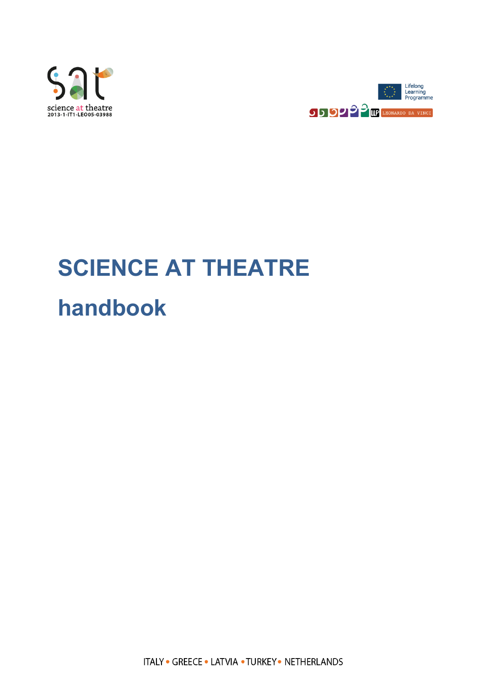



# **SCIENCE AT THEATRE handbook**

ITALY · GREECE · LATVIA · TURKEY · NETHERLANDS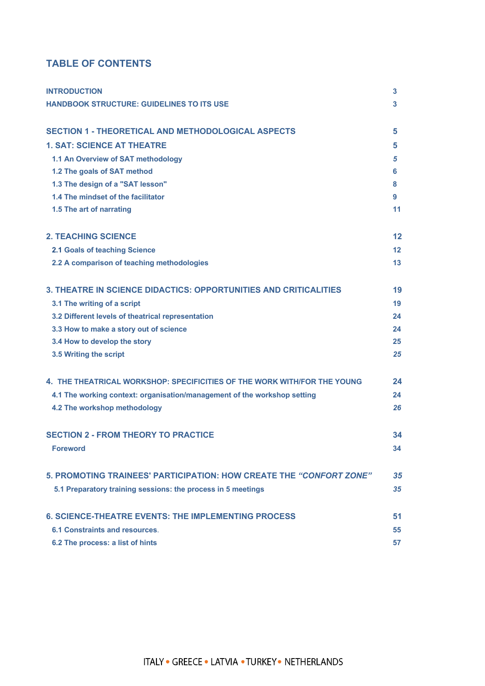# **TABLE OF CONTENTS**

| <b>INTRODUCTION</b>                                                      | 3  |
|--------------------------------------------------------------------------|----|
| <b>HANDBOOK STRUCTURE: GUIDELINES TO ITS USE</b>                         | 3  |
| <b>SECTION 1 - THEORETICAL AND METHODOLOGICAL ASPECTS</b>                | 5  |
| <b>1. SAT: SCIENCE AT THEATRE</b>                                        | 5  |
| 1.1 An Overview of SAT methodology                                       | 5  |
| 1.2 The goals of SAT method                                              | 6  |
| 1.3 The design of a "SAT lesson"                                         | 8  |
| 1.4 The mindset of the facilitator                                       | 9  |
| 1.5 The art of narrating                                                 | 11 |
| <b>2. TEACHING SCIENCE</b>                                               | 12 |
| 2.1 Goals of teaching Science                                            | 12 |
| 2.2 A comparison of teaching methodologies                               | 13 |
| 3. THEATRE IN SCIENCE DIDACTICS: OPPORTUNITIES AND CRITICALITIES         | 19 |
| 3.1 The writing of a script                                              | 19 |
| 3.2 Different levels of theatrical representation                        | 24 |
| 3.3 How to make a story out of science                                   | 24 |
| 3.4 How to develop the story                                             | 25 |
| 3.5 Writing the script                                                   | 25 |
| 4. THE THEATRICAL WORKSHOP: SPECIFICITIES OF THE WORK WITH/FOR THE YOUNG | 24 |
| 4.1 The working context: organisation/management of the workshop setting | 24 |
| 4.2 The workshop methodology                                             | 26 |
| <b>SECTION 2 - FROM THEORY TO PRACTICE</b>                               | 34 |
| <b>Foreword</b>                                                          | 34 |
| 5. PROMOTING TRAINEES' PARTICIPATION: HOW CREATE THE "CONFORT ZONE"      | 35 |
| 5.1 Preparatory training sessions: the process in 5 meetings             | 35 |
| <b>6. SCIENCE-THEATRE EVENTS: THE IMPLEMENTING PROCESS</b>               | 51 |
| <b>6.1 Constraints and resources.</b>                                    | 55 |
| 6.2 The process: a list of hints                                         | 57 |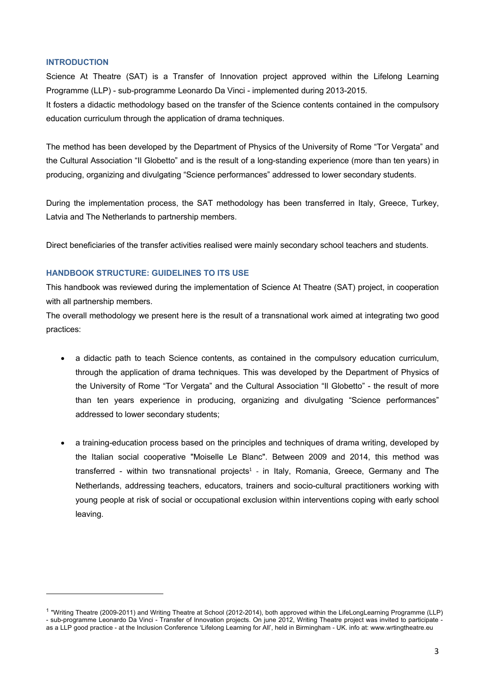# **INTRODUCTION**

Science At Theatre (SAT) is a Transfer of Innovation project approved within the Lifelong Learning Programme (LLP) - sub-programme Leonardo Da Vinci - implemented during 2013-2015.

It fosters a didactic methodology based on the transfer of the Science contents contained in the compulsory education curriculum through the application of drama techniques.

The method has been developed by the Department of Physics of the University of Rome "Tor Vergata" and the Cultural Association "Il Globetto" and is the result of a long-standing experience (more than ten years) in producing, organizing and divulgating "Science performances" addressed to lower secondary students.

During the implementation process, the SAT methodology has been transferred in Italy, Greece, Turkey, Latvia and The Netherlands to partnership members.

Direct beneficiaries of the transfer activities realised were mainly secondary school teachers and students.

# **HANDBOOK STRUCTURE: GUIDELINES TO ITS USE**

This handbook was reviewed during the implementation of Science At Theatre (SAT) project, in cooperation with all partnership members.

The overall methodology we present here is the result of a transnational work aimed at integrating two good practices:

- a didactic path to teach Science contents, as contained in the compulsory education curriculum, through the application of drama techniques. This was developed by the Department of Physics of the University of Rome "Tor Vergata" and the Cultural Association "Il Globetto" - the result of more than ten years experience in producing, organizing and divulgating "Science performances" addressed to lower secondary students;
- a training-education process based on the principles and techniques of drama writing, developed by the Italian social cooperative "Moiselle Le Blanc". Between 2009 and 2014, this method was transferred - within two transnational projects<sup>1</sup> - in Italy, Romania, Greece, Germany and The Netherlands, addressing teachers, educators, trainers and socio-cultural practitioners working with young people at risk of social or occupational exclusion within interventions coping with early school leaving.

<sup>1</sup> "Writing Theatre (2009-2011) and Writing Theatre at School (2012-2014), both approved within the LifeLongLearning Programme (LLP) - sub-programme Leonardo Da Vinci - Transfer of Innovation projects. On june 2012, Writing Theatre project was invited to participate as a LLP good practice - at the Inclusion Conference 'Lifelong Learning for All', held in Birmingham - UK. info at: www.wrtingtheatre.eu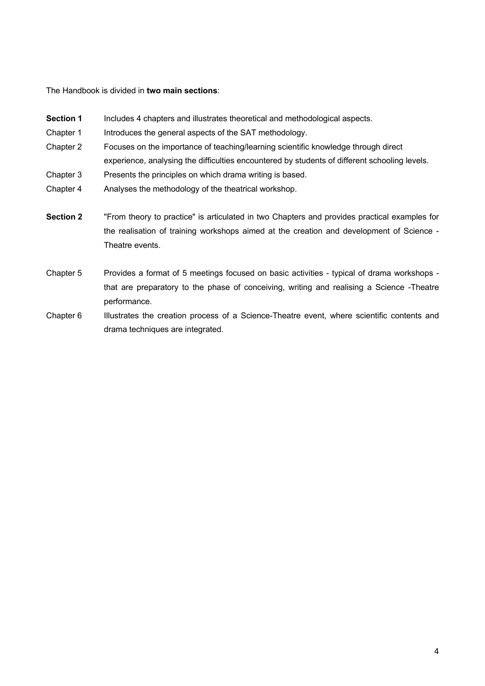The Handbook is divided in **two main sections**:

drama techniques are integrated.

| <b>Section 1</b> | Includes 4 chapters and illustrates theoretical and methodological aspects.                                                                                                                                 |
|------------------|-------------------------------------------------------------------------------------------------------------------------------------------------------------------------------------------------------------|
| Chapter 1        | Introduces the general aspects of the SAT methodology.                                                                                                                                                      |
| Chapter 2        | Focuses on the importance of teaching/learning scientific knowledge through direct                                                                                                                          |
|                  | experience, analysing the difficulties encountered by students of different schooling levels.                                                                                                               |
| Chapter 3        | Presents the principles on which drama writing is based.                                                                                                                                                    |
| Chapter 4        | Analyses the methodology of the theatrical workshop.                                                                                                                                                        |
| <b>Section 2</b> | "From theory to practice" is articulated in two Chapters and provides practical examples for<br>the realisation of training workshops aimed at the creation and development of Science -<br>Theatre events. |
| Chapter 5        | Provides a format of 5 meetings focused on basic activities - typical of drama workshops -<br>that are preparatory to the phase of conceiving, writing and realising a Science -Theatre<br>performance.     |
| Chapter 6        | Illustrates the creation process of a Science-Theatre event, where scientific contents and                                                                                                                  |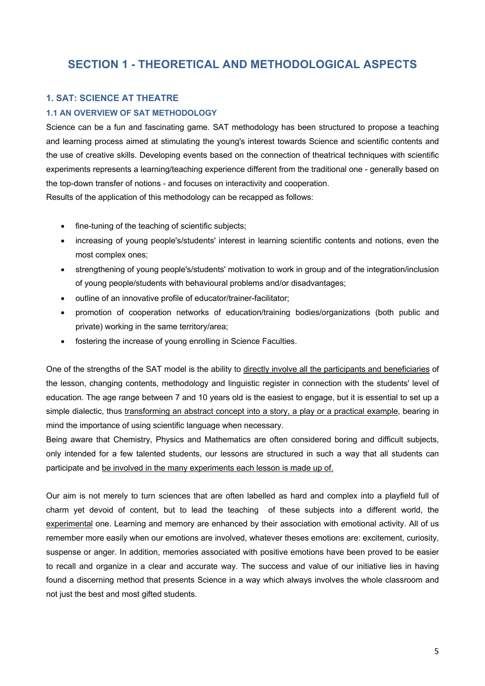# **SECTION 1 - THEORETICAL AND METHODOLOGICAL ASPECTS**

# **1. SAT: SCIENCE AT THEATRE**

# **1.1 AN OVERVIEW OF SAT METHODOLOGY**

Science can be a fun and fascinating game. SAT methodology has been structured to propose a teaching and learning process aimed at stimulating the young's interest towards Science and scientific contents and the use of creative skills. Developing events based on the connection of theatrical techniques with scientific experiments represents a learning/teaching experience different from the traditional one - generally based on the top-down transfer of notions - and focuses on interactivity and cooperation. Results of the application of this methodology can be recapped as follows:

- fine-tuning of the teaching of scientific subjects;
- increasing of young people's/students' interest in learning scientific contents and notions, even the most complex ones;
- strengthening of young people's/students' motivation to work in group and of the integration/inclusion of young people/students with behavioural problems and/or disadvantages;
- outline of an innovative profile of educator/trainer-facilitator;
- promotion of cooperation networks of education/training bodies/organizations (both public and private) working in the same territory/area;
- fostering the increase of young enrolling in Science Faculties.

One of the strengths of the SAT model is the ability to directly involve all the participants and beneficiaries of the lesson, changing contents, methodology and linguistic register in connection with the students' level of education. The age range between 7 and 10 years old is the easiest to engage, but it is essential to set up a simple dialectic, thus transforming an abstract concept into a story, a play or a practical example, bearing in mind the importance of using scientific language when necessary.

Being aware that Chemistry, Physics and Mathematics are often considered boring and difficult subjects, only intended for a few talented students, our lessons are structured in such a way that all students can participate and be involved in the many experiments each lesson is made up of.

Our aim is not merely to turn sciences that are often labelled as hard and complex into a playfield full of charm yet devoid of content, but to lead the teaching of these subjects into a different world, the experimental one. Learning and memory are enhanced by their association with emotional activity. All of us remember more easily when our emotions are involved, whatever theses emotions are: excitement, curiosity, suspense or anger. In addition, memories associated with positive emotions have been proved to be easier to recall and organize in a clear and accurate way. The success and value of our initiative lies in having found a discerning method that presents Science in a way which always involves the whole classroom and not just the best and most gifted students.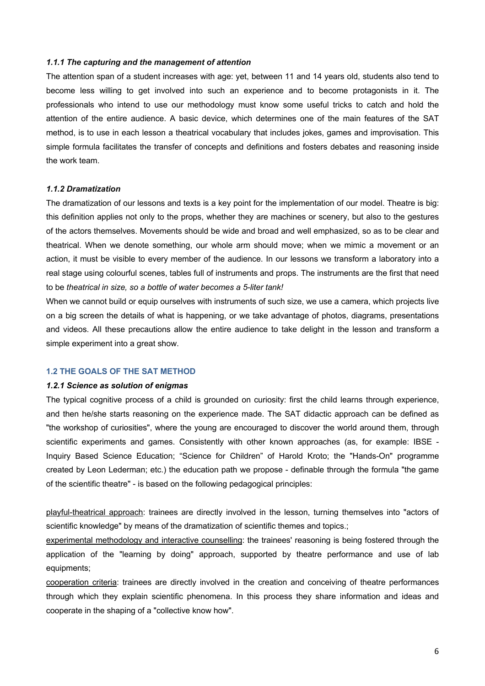#### *1.1.1 The capturing and the management of attention*

The attention span of a student increases with age: yet, between 11 and 14 years old, students also tend to become less willing to get involved into such an experience and to become protagonists in it. The professionals who intend to use our methodology must know some useful tricks to catch and hold the attention of the entire audience. A basic device, which determines one of the main features of the SAT method, is to use in each lesson a theatrical vocabulary that includes jokes, games and improvisation. This simple formula facilitates the transfer of concepts and definitions and fosters debates and reasoning inside the work team.

# *1.1.2 Dramatization*

The dramatization of our lessons and texts is a key point for the implementation of our model. Theatre is big: this definition applies not only to the props, whether they are machines or scenery, but also to the gestures of the actors themselves. Movements should be wide and broad and well emphasized, so as to be clear and theatrical. When we denote something, our whole arm should move; when we mimic a movement or an action, it must be visible to every member of the audience. In our lessons we transform a laboratory into a real stage using colourful scenes, tables full of instruments and props. The instruments are the first that need to be *theatrical in size, so a bottle of water becomes a 5-liter tank!*

When we cannot build or equip ourselves with instruments of such size, we use a camera, which projects live on a big screen the details of what is happening, or we take advantage of photos, diagrams, presentations and videos. All these precautions allow the entire audience to take delight in the lesson and transform a simple experiment into a great show.

# **1.2 THE GOALS OF THE SAT METHOD**

#### *1.2.1 Science as solution of enigmas*

The typical cognitive process of a child is grounded on curiosity: first the child learns through experience, and then he/she starts reasoning on the experience made. The SAT didactic approach can be defined as "the workshop of curiosities", where the young are encouraged to discover the world around them, through scientific experiments and games. Consistently with other known approaches (as, for example: IBSE - Inquiry Based Science Education; "Science for Children" of Harold Kroto; the "Hands-On" programme created by Leon Lederman; etc.) the education path we propose - definable through the formula "the game of the scientific theatre" - is based on the following pedagogical principles:

playful-theatrical approach: trainees are directly involved in the lesson, turning themselves into "actors of scientific knowledge" by means of the dramatization of scientific themes and topics.;

experimental methodology and interactive counselling: the trainees' reasoning is being fostered through the application of the "learning by doing" approach, supported by theatre performance and use of lab equipments;

cooperation criteria: trainees are directly involved in the creation and conceiving of theatre performances through which they explain scientific phenomena. In this process they share information and ideas and cooperate in the shaping of a "collective know how".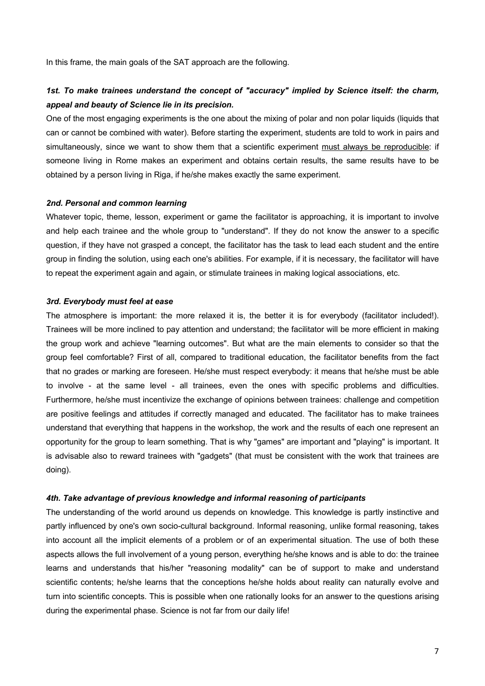In this frame, the main goals of the SAT approach are the following.

# *1st. To make trainees understand the concept of "accuracy" implied by Science itself: the charm, appeal and beauty of Science lie in its precision.*

One of the most engaging experiments is the one about the mixing of polar and non polar liquids (liquids that can or cannot be combined with water). Before starting the experiment, students are told to work in pairs and simultaneously, since we want to show them that a scientific experiment must always be reproducible: if someone living in Rome makes an experiment and obtains certain results, the same results have to be obtained by a person living in Riga, if he/she makes exactly the same experiment.

#### *2nd. Personal and common learning*

Whatever topic, theme, lesson, experiment or game the facilitator is approaching, it is important to involve and help each trainee and the whole group to "understand". If they do not know the answer to a specific question, if they have not grasped a concept, the facilitator has the task to lead each student and the entire group in finding the solution, using each one's abilities. For example, if it is necessary, the facilitator will have to repeat the experiment again and again, or stimulate trainees in making logical associations, etc.

#### *3rd. Everybody must feel at ease*

The atmosphere is important: the more relaxed it is, the better it is for everybody (facilitator included!). Trainees will be more inclined to pay attention and understand; the facilitator will be more efficient in making the group work and achieve "learning outcomes". But what are the main elements to consider so that the group feel comfortable? First of all, compared to traditional education, the facilitator benefits from the fact that no grades or marking are foreseen. He/she must respect everybody: it means that he/she must be able to involve - at the same level - all trainees, even the ones with specific problems and difficulties. Furthermore, he/she must incentivize the exchange of opinions between trainees: challenge and competition are positive feelings and attitudes if correctly managed and educated. The facilitator has to make trainees understand that everything that happens in the workshop, the work and the results of each one represent an opportunity for the group to learn something. That is why "games" are important and "playing" is important. It is advisable also to reward trainees with "gadgets" (that must be consistent with the work that trainees are doing).

#### *4th. Take advantage of previous knowledge and informal reasoning of participants*

The understanding of the world around us depends on knowledge. This knowledge is partly instinctive and partly influenced by one's own socio-cultural background. Informal reasoning, unlike formal reasoning, takes into account all the implicit elements of a problem or of an experimental situation. The use of both these aspects allows the full involvement of a young person, everything he/she knows and is able to do: the trainee learns and understands that his/her "reasoning modality" can be of support to make and understand scientific contents; he/she learns that the conceptions he/she holds about reality can naturally evolve and turn into scientific concepts. This is possible when one rationally looks for an answer to the questions arising during the experimental phase. Science is not far from our daily life!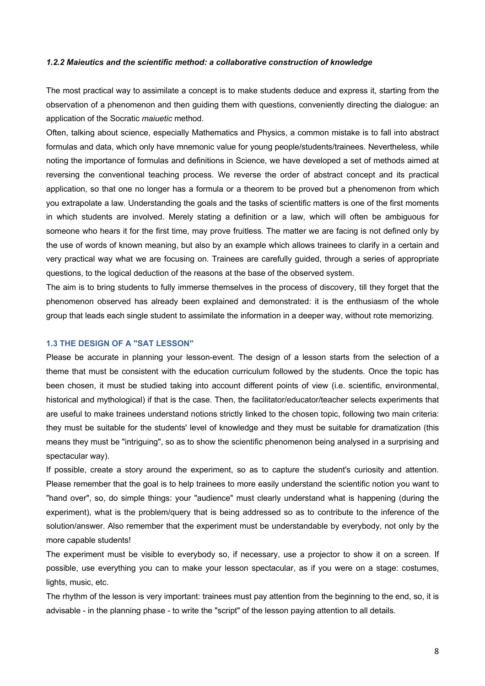#### *1.2.2 Maieutics and the scientific method: a collaborative construction of knowledge*

The most practical way to assimilate a concept is to make students deduce and express it, starting from the observation of a phenomenon and then guiding them with questions, conveniently directing the dialogue: an application of the Socratic *maiuetic* method.

Often, talking about science, especially Mathematics and Physics, a common mistake is to fall into abstract formulas and data, which only have mnemonic value for young people/students/trainees. Nevertheless, while noting the importance of formulas and definitions in Science, we have developed a set of methods aimed at reversing the conventional teaching process. We reverse the order of abstract concept and its practical application, so that one no longer has a formula or a theorem to be proved but a phenomenon from which you extrapolate a law. Understanding the goals and the tasks of scientific matters is one of the first moments in which students are involved. Merely stating a definition or a law, which will often be ambiguous for someone who hears it for the first time, may prove fruitless. The matter we are facing is not defined only by the use of words of known meaning, but also by an example which allows trainees to clarify in a certain and very practical way what we are focusing on. Trainees are carefully guided, through a series of appropriate questions, to the logical deduction of the reasons at the base of the observed system.

The aim is to bring students to fully immerse themselves in the process of discovery, till they forget that the phenomenon observed has already been explained and demonstrated: it is the enthusiasm of the whole group that leads each single student to assimilate the information in a deeper way, without rote memorizing.

#### **1.3 THE DESIGN OF A "SAT LESSON"**

Please be accurate in planning your lesson-event. The design of a lesson starts from the selection of a theme that must be consistent with the education curriculum followed by the students. Once the topic has been chosen, it must be studied taking into account different points of view (i.e. scientific, environmental, historical and mythological) if that is the case. Then, the facilitator/educator/teacher selects experiments that are useful to make trainees understand notions strictly linked to the chosen topic, following two main criteria: they must be suitable for the students' level of knowledge and they must be suitable for dramatization (this means they must be "intriguing", so as to show the scientific phenomenon being analysed in a surprising and spectacular way).

If possible, create a story around the experiment, so as to capture the student's curiosity and attention. Please remember that the goal is to help trainees to more easily understand the scientific notion you want to "hand over", so, do simple things: your "audience" must clearly understand what is happening (during the experiment), what is the problem/query that is being addressed so as to contribute to the inference of the solution/answer. Also remember that the experiment must be understandable by everybody, not only by the more capable students!

The experiment must be visible to everybody so, if necessary, use a projector to show it on a screen. If possible, use everything you can to make your lesson spectacular, as if you were on a stage: costumes, lights, music, etc.

The rhythm of the lesson is very important: trainees must pay attention from the beginning to the end, so, it is advisable - in the planning phase - to write the "script" of the lesson paying attention to all details.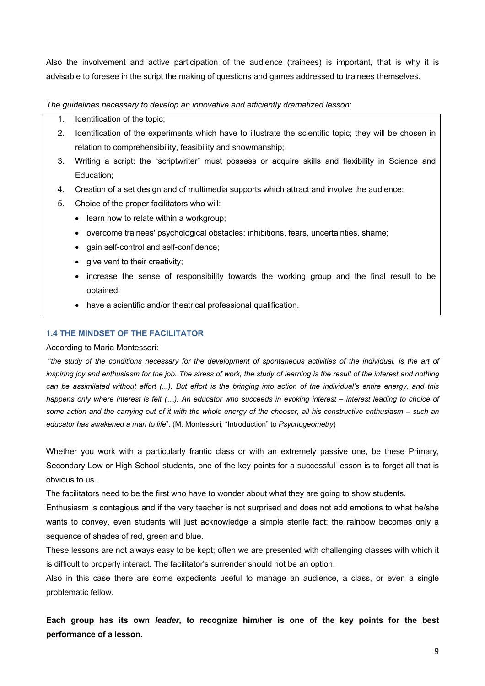Also the involvement and active participation of the audience (trainees) is important, that is why it is advisable to foresee in the script the making of questions and games addressed to trainees themselves.

*The guidelines necessary to develop an innovative and efficiently dramatized lesson:*

- 1. Identification of the topic;
- 2. Identification of the experiments which have to illustrate the scientific topic; they will be chosen in relation to comprehensibility, feasibility and showmanship;
- 3. Writing a script: the "scriptwriter" must possess or acquire skills and flexibility in Science and Education;
- 4. Creation of a set design and of multimedia supports which attract and involve the audience;
- 5. Choice of the proper facilitators who will:
	- learn how to relate within a workgroup;
	- overcome trainees' psychological obstacles: inhibitions, fears, uncertainties, shame;
	- gain self-control and self-confidence;
	- give vent to their creativity;
	- increase the sense of responsibility towards the working group and the final result to be obtained;
	- have a scientific and/or theatrical professional qualification.

# **1.4 THE MINDSET OF THE FACILITATOR**

# According to Maria Montessori:

"*the study of the conditions necessary for the development of spontaneous activities of the individual, is the art of inspiring joy and enthusiasm for the job. The stress of work, the study of learning is the result of the interest and nothing can be assimilated without effort (...). But effort is the bringing into action of the individual's entire energy, and this happens only where interest is felt (…). An educator who succeeds in evoking interest – interest leading to choice of some action and the carrying out of it with the whole energy of the chooser, all his constructive enthusiasm – such an educator has awakened a man to life*". (M. Montessori, "Introduction" to *Psychogeometry*)

Whether you work with a particularly frantic class or with an extremely passive one, be these Primary, Secondary Low or High School students, one of the key points for a successful lesson is to forget all that is obvious to us.

The facilitators need to be the first who have to wonder about what they are going to show students.

Enthusiasm is contagious and if the very teacher is not surprised and does not add emotions to what he/she wants to convey, even students will just acknowledge a simple sterile fact: the rainbow becomes only a sequence of shades of red, green and blue.

These lessons are not always easy to be kept; often we are presented with challenging classes with which it is difficult to properly interact. The facilitator's surrender should not be an option.

Also in this case there are some expedients useful to manage an audience, a class, or even a single problematic fellow.

**Each group has its own** *leader***, to recognize him/her is one of the key points for the best performance of a lesson.**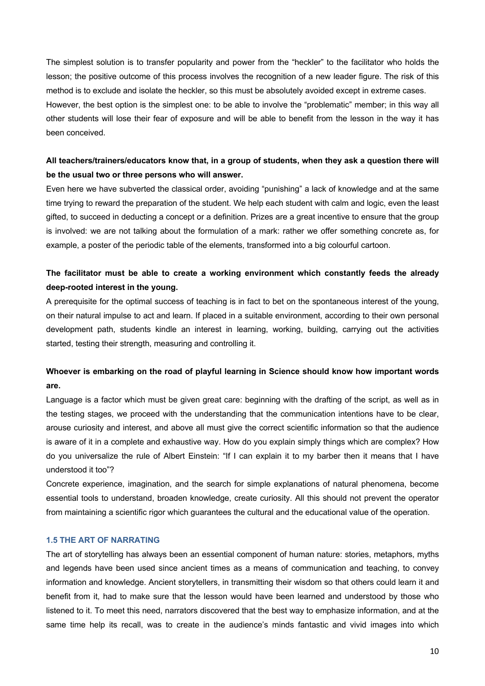The simplest solution is to transfer popularity and power from the "heckler" to the facilitator who holds the lesson; the positive outcome of this process involves the recognition of a new leader figure. The risk of this method is to exclude and isolate the heckler, so this must be absolutely avoided except in extreme cases. However, the best option is the simplest one: to be able to involve the "problematic" member; in this way all other students will lose their fear of exposure and will be able to benefit from the lesson in the way it has been conceived.

# **All teachers/trainers/educators know that, in a group of students, when they ask a question there will be the usual two or three persons who will answer.**

Even here we have subverted the classical order, avoiding "punishing" a lack of knowledge and at the same time trying to reward the preparation of the student. We help each student with calm and logic, even the least gifted, to succeed in deducting a concept or a definition. Prizes are a great incentive to ensure that the group is involved: we are not talking about the formulation of a mark: rather we offer something concrete as, for example, a poster of the periodic table of the elements, transformed into a big colourful cartoon.

# **The facilitator must be able to create a working environment which constantly feeds the already deep-rooted interest in the young.**

A prerequisite for the optimal success of teaching is in fact to bet on the spontaneous interest of the young, on their natural impulse to act and learn. If placed in a suitable environment, according to their own personal development path, students kindle an interest in learning, working, building, carrying out the activities started, testing their strength, measuring and controlling it.

# **Whoever is embarking on the road of playful learning in Science should know how important words are.**

Language is a factor which must be given great care: beginning with the drafting of the script, as well as in the testing stages, we proceed with the understanding that the communication intentions have to be clear, arouse curiosity and interest, and above all must give the correct scientific information so that the audience is aware of it in a complete and exhaustive way. How do you explain simply things which are complex? How do you universalize the rule of Albert Einstein: "If I can explain it to my barber then it means that I have understood it too"?

Concrete experience, imagination, and the search for simple explanations of natural phenomena, become essential tools to understand, broaden knowledge, create curiosity. All this should not prevent the operator from maintaining a scientific rigor which guarantees the cultural and the educational value of the operation.

# **1.5 THE ART OF NARRATING**

The art of storytelling has always been an essential component of human nature: stories, metaphors, myths and legends have been used since ancient times as a means of communication and teaching, to convey information and knowledge. Ancient storytellers, in transmitting their wisdom so that others could learn it and benefit from it, had to make sure that the lesson would have been learned and understood by those who listened to it. To meet this need, narrators discovered that the best way to emphasize information, and at the same time help its recall, was to create in the audience's minds fantastic and vivid images into which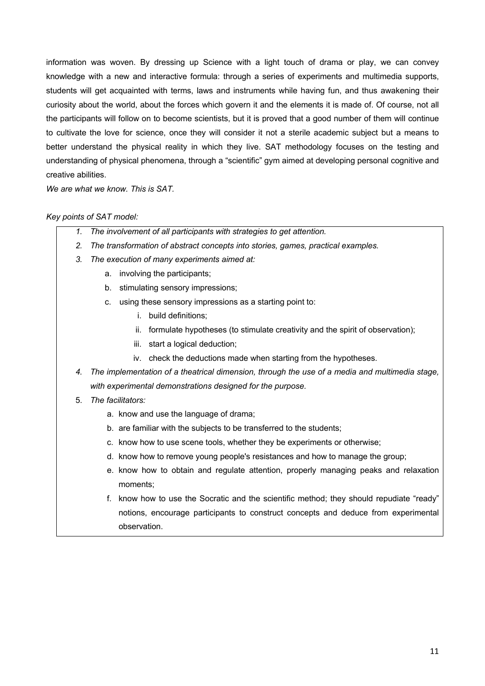information was woven. By dressing up Science with a light touch of drama or play, we can convey knowledge with a new and interactive formula: through a series of experiments and multimedia supports, students will get acquainted with terms, laws and instruments while having fun, and thus awakening their curiosity about the world, about the forces which govern it and the elements it is made of. Of course, not all the participants will follow on to become scientists, but it is proved that a good number of them will continue to cultivate the love for science, once they will consider it not a sterile academic subject but a means to better understand the physical reality in which they live. SAT methodology focuses on the testing and understanding of physical phenomena, through a "scientific" gym aimed at developing personal cognitive and creative abilities.

*We are what we know. This is SAT.*

# *Key points of SAT model:*

- *1. The involvement of all participants with strategies to get attention.*
- *2. The transformation of abstract concepts into stories, games, practical examples.*
- *3. The execution of many experiments aimed at:*
	- a. involving the participants;
	- b. stimulating sensory impressions;
	- c. using these sensory impressions as a starting point to:
		- i. build definitions;
		- ii. formulate hypotheses (to stimulate creativity and the spirit of observation);
		- iii. start a logical deduction;
		- iv. check the deductions made when starting from the hypotheses.
- *4. The implementation of a theatrical dimension, through the use of a media and multimedia stage, with experimental demonstrations designed for the purpose.*
- 5. *The facilitators:*
	- a. know and use the language of drama;
	- b. are familiar with the subjects to be transferred to the students;
	- c. know how to use scene tools, whether they be experiments or otherwise;
	- d. know how to remove young people's resistances and how to manage the group;
	- e. know how to obtain and regulate attention, properly managing peaks and relaxation moments;
	- f. know how to use the Socratic and the scientific method; they should repudiate "ready" notions, encourage participants to construct concepts and deduce from experimental observation.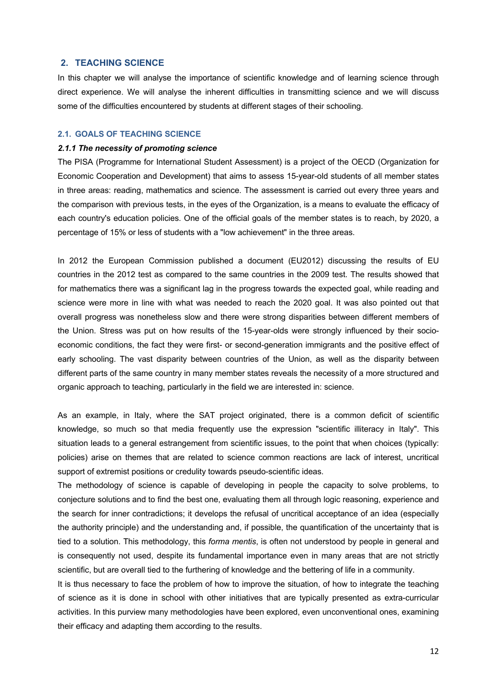# **2. TEACHING SCIENCE**

In this chapter we will analyse the importance of scientific knowledge and of learning science through direct experience. We will analyse the inherent difficulties in transmitting science and we will discuss some of the difficulties encountered by students at different stages of their schooling.

# **2.1. GOALS OF TEACHING SCIENCE**

#### *2.1.1 The necessity of promoting science*

The PISA (Programme for International Student Assessment) is a project of the OECD (Organization for Economic Cooperation and Development) that aims to assess 15-year-old students of all member states in three areas: reading, mathematics and science. The assessment is carried out every three years and the comparison with previous tests, in the eyes of the Organization, is a means to evaluate the efficacy of each country's education policies. One of the official goals of the member states is to reach, by 2020, a percentage of 15% or less of students with a "low achievement" in the three areas.

In 2012 the European Commission published a document (EU2012) discussing the results of EU countries in the 2012 test as compared to the same countries in the 2009 test. The results showed that for mathematics there was a significant lag in the progress towards the expected goal, while reading and science were more in line with what was needed to reach the 2020 goal. It was also pointed out that overall progress was nonetheless slow and there were strong disparities between different members of the Union. Stress was put on how results of the 15-year-olds were strongly influenced by their socioeconomic conditions, the fact they were first- or second-generation immigrants and the positive effect of early schooling. The vast disparity between countries of the Union, as well as the disparity between different parts of the same country in many member states reveals the necessity of a more structured and organic approach to teaching, particularly in the field we are interested in: science.

As an example, in Italy, where the SAT project originated, there is a common deficit of scientific knowledge, so much so that media frequently use the expression "scientific illiteracy in Italy". This situation leads to a general estrangement from scientific issues, to the point that when choices (typically: policies) arise on themes that are related to science common reactions are lack of interest, uncritical support of extremist positions or credulity towards pseudo-scientific ideas.

The methodology of science is capable of developing in people the capacity to solve problems, to conjecture solutions and to find the best one, evaluating them all through logic reasoning, experience and the search for inner contradictions; it develops the refusal of uncritical acceptance of an idea (especially the authority principle) and the understanding and, if possible, the quantification of the uncertainty that is tied to a solution. This methodology, this *forma mentis*, is often not understood by people in general and is consequently not used, despite its fundamental importance even in many areas that are not strictly scientific, but are overall tied to the furthering of knowledge and the bettering of life in a community.

It is thus necessary to face the problem of how to improve the situation, of how to integrate the teaching of science as it is done in school with other initiatives that are typically presented as extra-curricular activities. In this purview many methodologies have been explored, even unconventional ones, examining their efficacy and adapting them according to the results.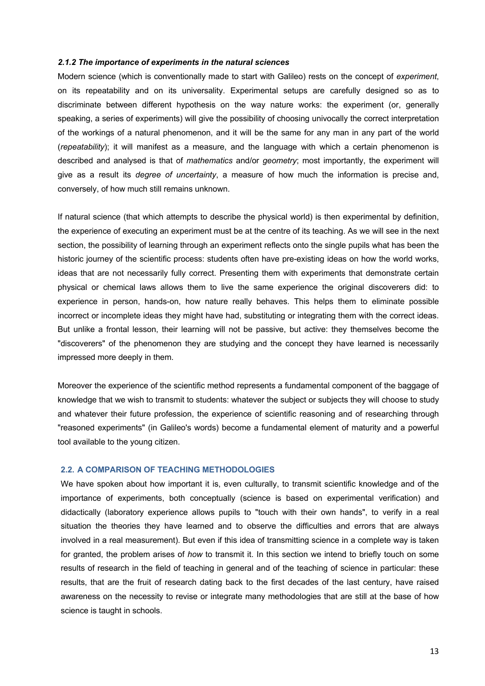#### *2.1.2 The importance of experiments in the natural sciences*

Modern science (which is conventionally made to start with Galileo) rests on the concept of *experiment*, on its repeatability and on its universality. Experimental setups are carefully designed so as to discriminate between different hypothesis on the way nature works: the experiment (or, generally speaking, a series of experiments) will give the possibility of choosing univocally the correct interpretation of the workings of a natural phenomenon, and it will be the same for any man in any part of the world (*repeatability*); it will manifest as a measure, and the language with which a certain phenomenon is described and analysed is that of *mathematics* and/or *geometry*; most importantly, the experiment will give as a result its *degree of uncertainty*, a measure of how much the information is precise and, conversely, of how much still remains unknown.

If natural science (that which attempts to describe the physical world) is then experimental by definition, the experience of executing an experiment must be at the centre of its teaching. As we will see in the next section, the possibility of learning through an experiment reflects onto the single pupils what has been the historic journey of the scientific process: students often have pre-existing ideas on how the world works, ideas that are not necessarily fully correct. Presenting them with experiments that demonstrate certain physical or chemical laws allows them to live the same experience the original discoverers did: to experience in person, hands-on, how nature really behaves. This helps them to eliminate possible incorrect or incomplete ideas they might have had, substituting or integrating them with the correct ideas. But unlike a frontal lesson, their learning will not be passive, but active: they themselves become the "discoverers" of the phenomenon they are studying and the concept they have learned is necessarily impressed more deeply in them.

Moreover the experience of the scientific method represents a fundamental component of the baggage of knowledge that we wish to transmit to students: whatever the subject or subjects they will choose to study and whatever their future profession, the experience of scientific reasoning and of researching through "reasoned experiments" (in Galileo's words) become a fundamental element of maturity and a powerful tool available to the young citizen.

#### **2.2. A COMPARISON OF TEACHING METHODOLOGIES**

We have spoken about how important it is, even culturally, to transmit scientific knowledge and of the importance of experiments, both conceptually (science is based on experimental verification) and didactically (laboratory experience allows pupils to "touch with their own hands", to verify in a real situation the theories they have learned and to observe the difficulties and errors that are always involved in a real measurement). But even if this idea of transmitting science in a complete way is taken for granted, the problem arises of *how* to transmit it. In this section we intend to briefly touch on some results of research in the field of teaching in general and of the teaching of science in particular: these results, that are the fruit of research dating back to the first decades of the last century, have raised awareness on the necessity to revise or integrate many methodologies that are still at the base of how science is taught in schools.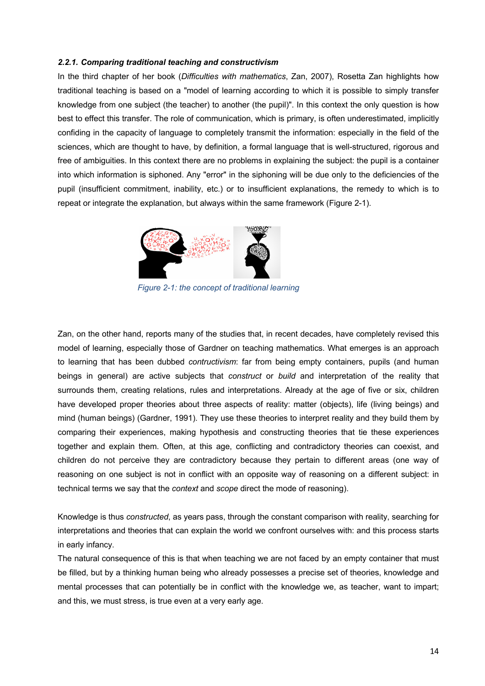# *2.2.1. Comparing traditional teaching and constructivism*

In the third chapter of her book (*Difficulties with mathematics*, Zan, 2007), Rosetta Zan highlights how traditional teaching is based on a "model of learning according to which it is possible to simply transfer knowledge from one subject (the teacher) to another (the pupil)". In this context the only question is how best to effect this transfer. The role of communication, which is primary, is often underestimated, implicitly confiding in the capacity of language to completely transmit the information: especially in the field of the sciences, which are thought to have, by definition, a formal language that is well-structured, rigorous and free of ambiguities. In this context there are no problems in explaining the subject: the pupil is a container into which information is siphoned. Any "error" in the siphoning will be due only to the deficiencies of the pupil (insufficient commitment, inability, etc.) or to insufficient explanations, the remedy to which is to repeat or integrate the explanation, but always within the same framework (Figure 2-1).



*Figure 2-1: the concept of traditional learning*

Zan, on the other hand, reports many of the studies that, in recent decades, have completely revised this model of learning, especially those of Gardner on teaching mathematics. What emerges is an approach to learning that has been dubbed *contructivism*: far from being empty containers, pupils (and human beings in general) are active subjects that *construct* or *build* and interpretation of the reality that surrounds them, creating relations, rules and interpretations. Already at the age of five or six, children have developed proper theories about three aspects of reality: matter (objects), life (living beings) and mind (human beings) (Gardner, 1991). They use these theories to interpret reality and they build them by comparing their experiences, making hypothesis and constructing theories that tie these experiences together and explain them. Often, at this age, conflicting and contradictory theories can coexist, and children do not perceive they are contradictory because they pertain to different areas (one way of reasoning on one subject is not in conflict with an opposite way of reasoning on a different subject: in technical terms we say that the *context* and *scope* direct the mode of reasoning).

Knowledge is thus *constructed*, as years pass, through the constant comparison with reality, searching for interpretations and theories that can explain the world we confront ourselves with: and this process starts in early infancy.

The natural consequence of this is that when teaching we are not faced by an empty container that must be filled, but by a thinking human being who already possesses a precise set of theories, knowledge and mental processes that can potentially be in conflict with the knowledge we, as teacher, want to impart; and this, we must stress, is true even at a very early age.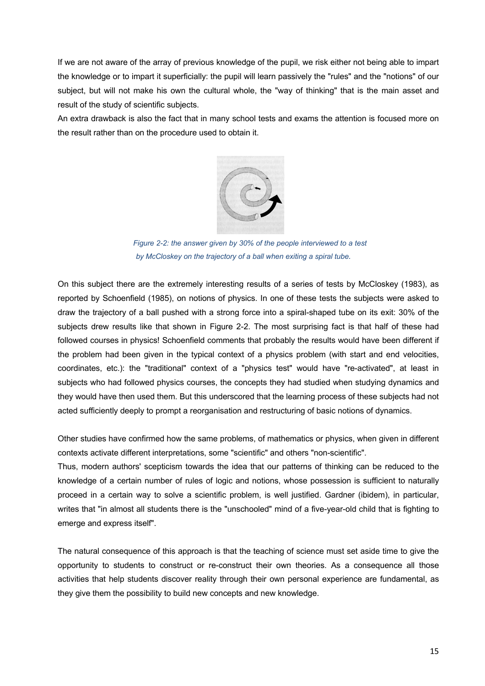If we are not aware of the array of previous knowledge of the pupil, we risk either not being able to impart the knowledge or to impart it superficially: the pupil will learn passively the "rules" and the "notions" of our subject, but will not make his own the cultural whole, the "way of thinking" that is the main asset and result of the study of scientific subjects.

An extra drawback is also the fact that in many school tests and exams the attention is focused more on the result rather than on the procedure used to obtain it.



*Figure 2-2: the answer given by 30% of the people interviewed to a test by McCloskey on the trajectory of a ball when exiting a spiral tube.*

On this subject there are the extremely interesting results of a series of tests by McCloskey (1983), as reported by Schoenfield (1985), on notions of physics. In one of these tests the subjects were asked to draw the trajectory of a ball pushed with a strong force into a spiral-shaped tube on its exit: 30% of the subjects drew results like that shown in Figure 2-2. The most surprising fact is that half of these had followed courses in physics! Schoenfield comments that probably the results would have been different if the problem had been given in the typical context of a physics problem (with start and end velocities, coordinates, etc.): the "traditional" context of a "physics test" would have "re-activated", at least in subjects who had followed physics courses, the concepts they had studied when studying dynamics and they would have then used them. But this underscored that the learning process of these subjects had not acted sufficiently deeply to prompt a reorganisation and restructuring of basic notions of dynamics.

Other studies have confirmed how the same problems, of mathematics or physics, when given in different contexts activate different interpretations, some "scientific" and others "non-scientific".

Thus, modern authors' scepticism towards the idea that our patterns of thinking can be reduced to the knowledge of a certain number of rules of logic and notions, whose possession is sufficient to naturally proceed in a certain way to solve a scientific problem, is well justified. Gardner (ibidem), in particular, writes that "in almost all students there is the "unschooled" mind of a five-year-old child that is fighting to emerge and express itself".

The natural consequence of this approach is that the teaching of science must set aside time to give the opportunity to students to construct or re-construct their own theories. As a consequence all those activities that help students discover reality through their own personal experience are fundamental, as they give them the possibility to build new concepts and new knowledge.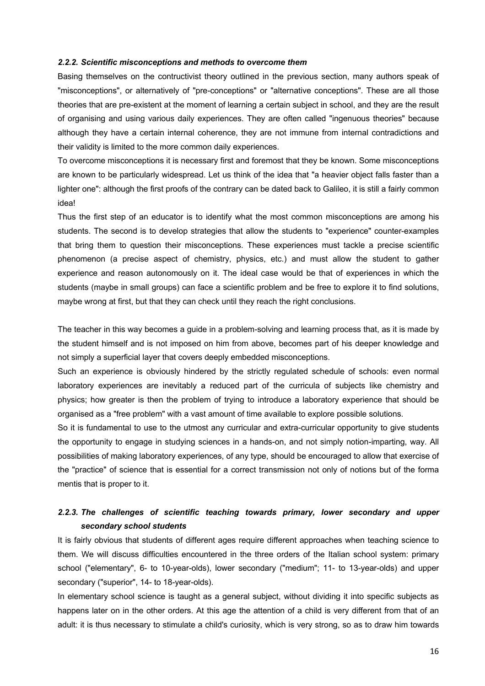#### *2.2.2. Scientific misconceptions and methods to overcome them*

Basing themselves on the contructivist theory outlined in the previous section, many authors speak of "misconceptions", or alternatively of "pre-conceptions" or "alternative conceptions". These are all those theories that are pre-existent at the moment of learning a certain subject in school, and they are the result of organising and using various daily experiences. They are often called "ingenuous theories" because although they have a certain internal coherence, they are not immune from internal contradictions and their validity is limited to the more common daily experiences.

To overcome misconceptions it is necessary first and foremost that they be known. Some misconceptions are known to be particularly widespread. Let us think of the idea that "a heavier object falls faster than a lighter one": although the first proofs of the contrary can be dated back to Galileo, it is still a fairly common idea!

Thus the first step of an educator is to identify what the most common misconceptions are among his students. The second is to develop strategies that allow the students to "experience" counter-examples that bring them to question their misconceptions. These experiences must tackle a precise scientific phenomenon (a precise aspect of chemistry, physics, etc.) and must allow the student to gather experience and reason autonomously on it. The ideal case would be that of experiences in which the students (maybe in small groups) can face a scientific problem and be free to explore it to find solutions, maybe wrong at first, but that they can check until they reach the right conclusions.

The teacher in this way becomes a guide in a problem-solving and learning process that, as it is made by the student himself and is not imposed on him from above, becomes part of his deeper knowledge and not simply a superficial layer that covers deeply embedded misconceptions.

Such an experience is obviously hindered by the strictly regulated schedule of schools: even normal laboratory experiences are inevitably a reduced part of the curricula of subjects like chemistry and physics; how greater is then the problem of trying to introduce a laboratory experience that should be organised as a "free problem" with a vast amount of time available to explore possible solutions.

So it is fundamental to use to the utmost any curricular and extra-curricular opportunity to give students the opportunity to engage in studying sciences in a hands-on, and not simply notion-imparting, way. All possibilities of making laboratory experiences, of any type, should be encouraged to allow that exercise of the "practice" of science that is essential for a correct transmission not only of notions but of the forma mentis that is proper to it.

# *2.2.3. The challenges of scientific teaching towards primary, lower secondary and upper secondary school students*

It is fairly obvious that students of different ages require different approaches when teaching science to them. We will discuss difficulties encountered in the three orders of the Italian school system: primary school ("elementary", 6- to 10-year-olds), lower secondary ("medium"; 11- to 13-year-olds) and upper secondary ("superior", 14- to 18-year-olds).

In elementary school science is taught as a general subject, without dividing it into specific subjects as happens later on in the other orders. At this age the attention of a child is very different from that of an adult: it is thus necessary to stimulate a child's curiosity, which is very strong, so as to draw him towards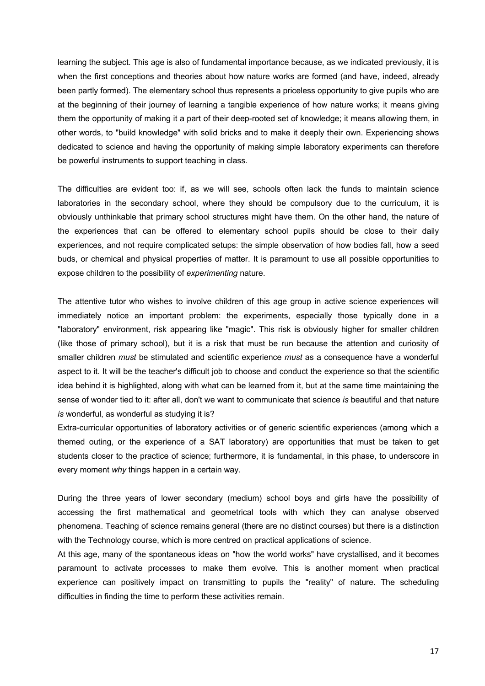learning the subject. This age is also of fundamental importance because, as we indicated previously, it is when the first conceptions and theories about how nature works are formed (and have, indeed, already been partly formed). The elementary school thus represents a priceless opportunity to give pupils who are at the beginning of their journey of learning a tangible experience of how nature works; it means giving them the opportunity of making it a part of their deep-rooted set of knowledge; it means allowing them, in other words, to "build knowledge" with solid bricks and to make it deeply their own. Experiencing shows dedicated to science and having the opportunity of making simple laboratory experiments can therefore be powerful instruments to support teaching in class.

The difficulties are evident too: if, as we will see, schools often lack the funds to maintain science laboratories in the secondary school, where they should be compulsory due to the curriculum, it is obviously unthinkable that primary school structures might have them. On the other hand, the nature of the experiences that can be offered to elementary school pupils should be close to their daily experiences, and not require complicated setups: the simple observation of how bodies fall, how a seed buds, or chemical and physical properties of matter. It is paramount to use all possible opportunities to expose children to the possibility of *experimenting* nature.

The attentive tutor who wishes to involve children of this age group in active science experiences will immediately notice an important problem: the experiments, especially those typically done in a "laboratory" environment, risk appearing like "magic". This risk is obviously higher for smaller children (like those of primary school), but it is a risk that must be run because the attention and curiosity of smaller children *must* be stimulated and scientific experience *must* as a consequence have a wonderful aspect to it. It will be the teacher's difficult job to choose and conduct the experience so that the scientific idea behind it is highlighted, along with what can be learned from it, but at the same time maintaining the sense of wonder tied to it: after all, don't we want to communicate that science *is* beautiful and that nature *is* wonderful, as wonderful as studying it is?

Extra-curricular opportunities of laboratory activities or of generic scientific experiences (among which a themed outing, or the experience of a SAT laboratory) are opportunities that must be taken to get students closer to the practice of science; furthermore, it is fundamental, in this phase, to underscore in every moment *why* things happen in a certain way.

During the three years of lower secondary (medium) school boys and girls have the possibility of accessing the first mathematical and geometrical tools with which they can analyse observed phenomena. Teaching of science remains general (there are no distinct courses) but there is a distinction with the Technology course, which is more centred on practical applications of science.

At this age, many of the spontaneous ideas on "how the world works" have crystallised, and it becomes paramount to activate processes to make them evolve. This is another moment when practical experience can positively impact on transmitting to pupils the "reality" of nature. The scheduling difficulties in finding the time to perform these activities remain.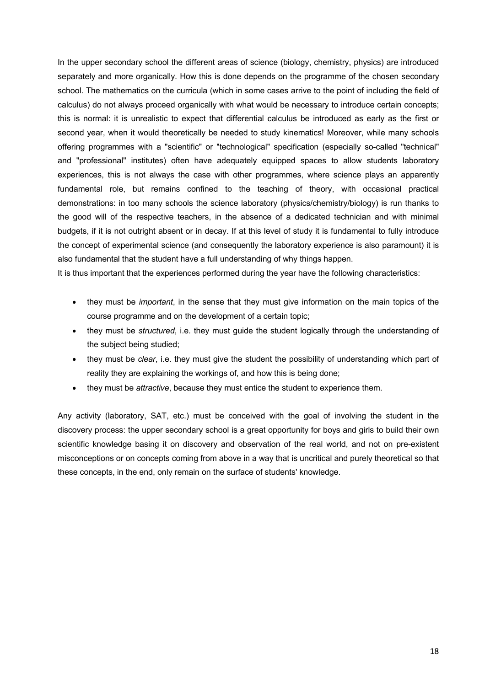In the upper secondary school the different areas of science (biology, chemistry, physics) are introduced separately and more organically. How this is done depends on the programme of the chosen secondary school. The mathematics on the curricula (which in some cases arrive to the point of including the field of calculus) do not always proceed organically with what would be necessary to introduce certain concepts; this is normal: it is unrealistic to expect that differential calculus be introduced as early as the first or second year, when it would theoretically be needed to study kinematics! Moreover, while many schools offering programmes with a "scientific" or "technological" specification (especially so-called "technical" and "professional" institutes) often have adequately equipped spaces to allow students laboratory experiences, this is not always the case with other programmes, where science plays an apparently fundamental role, but remains confined to the teaching of theory, with occasional practical demonstrations: in too many schools the science laboratory (physics/chemistry/biology) is run thanks to the good will of the respective teachers, in the absence of a dedicated technician and with minimal budgets, if it is not outright absent or in decay. If at this level of study it is fundamental to fully introduce the concept of experimental science (and consequently the laboratory experience is also paramount) it is also fundamental that the student have a full understanding of why things happen.

It is thus important that the experiences performed during the year have the following characteristics:

- they must be *important*, in the sense that they must give information on the main topics of the course programme and on the development of a certain topic;
- they must be *structured*, i.e. they must guide the student logically through the understanding of the subject being studied;
- they must be *clear*, i.e. they must give the student the possibility of understanding which part of reality they are explaining the workings of, and how this is being done;
- they must be *attractive*, because they must entice the student to experience them.

Any activity (laboratory, SAT, etc.) must be conceived with the goal of involving the student in the discovery process: the upper secondary school is a great opportunity for boys and girls to build their own scientific knowledge basing it on discovery and observation of the real world, and not on pre-existent misconceptions or on concepts coming from above in a way that is uncritical and purely theoretical so that these concepts, in the end, only remain on the surface of students' knowledge.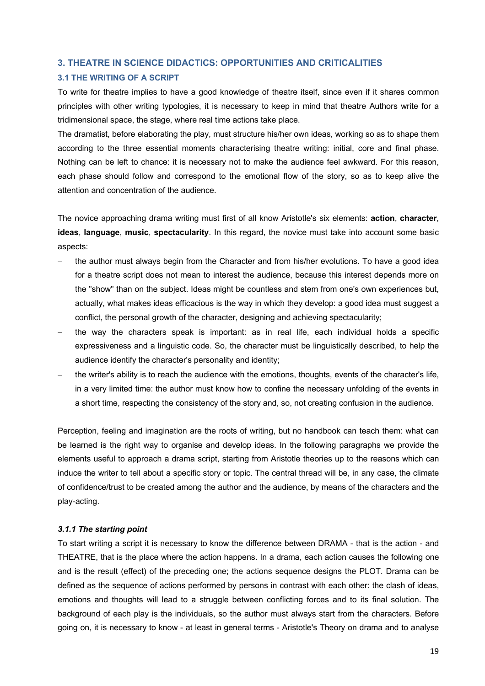# **3. THEATRE IN SCIENCE DIDACTICS: OPPORTUNITIES AND CRITICALITIES**

#### **3.1 THE WRITING OF A SCRIPT**

To write for theatre implies to have a good knowledge of theatre itself, since even if it shares common principles with other writing typologies, it is necessary to keep in mind that theatre Authors write for a tridimensional space, the stage, where real time actions take place.

The dramatist, before elaborating the play, must structure his/her own ideas, working so as to shape them according to the three essential moments characterising theatre writing: initial, core and final phase. Nothing can be left to chance: it is necessary not to make the audience feel awkward. For this reason, each phase should follow and correspond to the emotional flow of the story, so as to keep alive the attention and concentration of the audience.

The novice approaching drama writing must first of all know Aristotle's six elements: **action**, **character**, **ideas**, **language**, **music**, **spectacularity**. In this regard, the novice must take into account some basic aspects:

- the author must always begin from the Character and from his/her evolutions. To have a good idea for a theatre script does not mean to interest the audience, because this interest depends more on the "show" than on the subject. Ideas might be countless and stem from one's own experiences but, actually, what makes ideas efficacious is the way in which they develop: a good idea must suggest a conflict, the personal growth of the character, designing and achieving spectacularity;
- the way the characters speak is important: as in real life, each individual holds a specific expressiveness and a linguistic code. So, the character must be linguistically described, to help the audience identify the character's personality and identity;
- the writer's ability is to reach the audience with the emotions, thoughts, events of the character's life, in a very limited time: the author must know how to confine the necessary unfolding of the events in a short time, respecting the consistency of the story and, so, not creating confusion in the audience.

Perception, feeling and imagination are the roots of writing, but no handbook can teach them: what can be learned is the right way to organise and develop ideas. In the following paragraphs we provide the elements useful to approach a drama script, starting from Aristotle theories up to the reasons which can induce the writer to tell about a specific story or topic. The central thread will be, in any case, the climate of confidence/trust to be created among the author and the audience, by means of the characters and the play-acting.

#### *3.1.1 The starting point*

To start writing a script it is necessary to know the difference between DRAMA - that is the action - and THEATRE, that is the place where the action happens. In a drama, each action causes the following one and is the result (effect) of the preceding one; the actions sequence designs the PLOT. Drama can be defined as the sequence of actions performed by persons in contrast with each other: the clash of ideas, emotions and thoughts will lead to a struggle between conflicting forces and to its final solution. The background of each play is the individuals, so the author must always start from the characters. Before going on, it is necessary to know - at least in general terms - Aristotle's Theory on drama and to analyse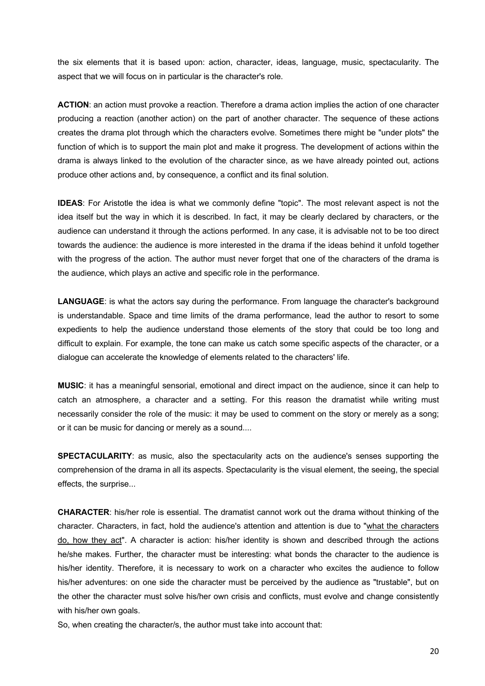the six elements that it is based upon: action, character, ideas, language, music, spectacularity. The aspect that we will focus on in particular is the character's role.

**ACTION**: an action must provoke a reaction. Therefore a drama action implies the action of one character producing a reaction (another action) on the part of another character. The sequence of these actions creates the drama plot through which the characters evolve. Sometimes there might be "under plots" the function of which is to support the main plot and make it progress. The development of actions within the drama is always linked to the evolution of the character since, as we have already pointed out, actions produce other actions and, by consequence, a conflict and its final solution.

**IDEAS**: For Aristotle the idea is what we commonly define "topic". The most relevant aspect is not the idea itself but the way in which it is described. In fact, it may be clearly declared by characters, or the audience can understand it through the actions performed. In any case, it is advisable not to be too direct towards the audience: the audience is more interested in the drama if the ideas behind it unfold together with the progress of the action. The author must never forget that one of the characters of the drama is the audience, which plays an active and specific role in the performance.

**LANGUAGE**: is what the actors say during the performance. From language the character's background is understandable. Space and time limits of the drama performance, lead the author to resort to some expedients to help the audience understand those elements of the story that could be too long and difficult to explain. For example, the tone can make us catch some specific aspects of the character, or a dialogue can accelerate the knowledge of elements related to the characters' life.

**MUSIC**: it has a meaningful sensorial, emotional and direct impact on the audience, since it can help to catch an atmosphere, a character and a setting. For this reason the dramatist while writing must necessarily consider the role of the music: it may be used to comment on the story or merely as a song; or it can be music for dancing or merely as a sound....

**SPECTACULARITY**: as music, also the spectacularity acts on the audience's senses supporting the comprehension of the drama in all its aspects. Spectacularity is the visual element, the seeing, the special effects, the surprise...

**CHARACTER**: his/her role is essential. The dramatist cannot work out the drama without thinking of the character. Characters, in fact, hold the audience's attention and attention is due to "what the characters do, how they act". A character is action: his/her identity is shown and described through the actions he/she makes. Further, the character must be interesting: what bonds the character to the audience is his/her identity. Therefore, it is necessary to work on a character who excites the audience to follow his/her adventures: on one side the character must be perceived by the audience as "trustable", but on the other the character must solve his/her own crisis and conflicts, must evolve and change consistently with his/her own goals.

So, when creating the character/s, the author must take into account that: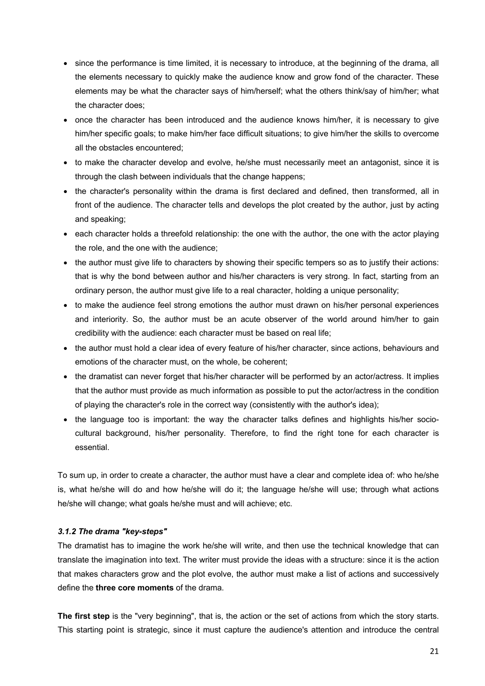- since the performance is time limited, it is necessary to introduce, at the beginning of the drama, all the elements necessary to quickly make the audience know and grow fond of the character. These elements may be what the character says of him/herself; what the others think/say of him/her; what the character does;
- once the character has been introduced and the audience knows him/her, it is necessary to give him/her specific goals; to make him/her face difficult situations; to give him/her the skills to overcome all the obstacles encountered;
- to make the character develop and evolve, he/she must necessarily meet an antagonist, since it is through the clash between individuals that the change happens;
- the character's personality within the drama is first declared and defined, then transformed, all in front of the audience. The character tells and develops the plot created by the author, just by acting and speaking;
- each character holds a threefold relationship: the one with the author, the one with the actor playing the role, and the one with the audience;
- the author must give life to characters by showing their specific tempers so as to justify their actions: that is why the bond between author and his/her characters is very strong. In fact, starting from an ordinary person, the author must give life to a real character, holding a unique personality;
- to make the audience feel strong emotions the author must drawn on his/her personal experiences and interiority. So, the author must be an acute observer of the world around him/her to gain credibility with the audience: each character must be based on real life;
- the author must hold a clear idea of every feature of his/her character, since actions, behaviours and emotions of the character must, on the whole, be coherent;
- the dramatist can never forget that his/her character will be performed by an actor/actress. It implies that the author must provide as much information as possible to put the actor/actress in the condition of playing the character's role in the correct way (consistently with the author's idea);
- the language too is important: the way the character talks defines and highlights his/her sociocultural background, his/her personality. Therefore, to find the right tone for each character is essential.

To sum up, in order to create a character, the author must have a clear and complete idea of: who he/she is, what he/she will do and how he/she will do it; the language he/she will use; through what actions he/she will change; what goals he/she must and will achieve; etc.

# *3.1.2 The drama "key-steps"*

The dramatist has to imagine the work he/she will write, and then use the technical knowledge that can translate the imagination into text. The writer must provide the ideas with a structure: since it is the action that makes characters grow and the plot evolve, the author must make a list of actions and successively define the **three core moments** of the drama.

**The first step** is the "very beginning", that is, the action or the set of actions from which the story starts. This starting point is strategic, since it must capture the audience's attention and introduce the central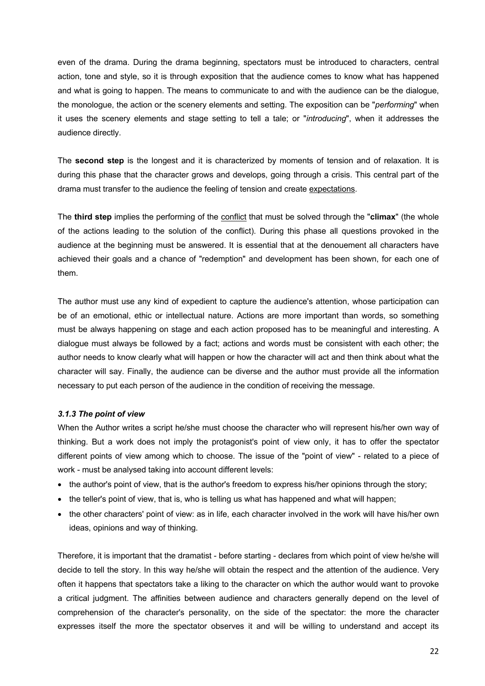even of the drama. During the drama beginning, spectators must be introduced to characters, central action, tone and style, so it is through exposition that the audience comes to know what has happened and what is going to happen. The means to communicate to and with the audience can be the dialogue, the monologue, the action or the scenery elements and setting. The exposition can be "*performing*" when it uses the scenery elements and stage setting to tell a tale; or "*introducing*", when it addresses the audience directly.

The **second step** is the longest and it is characterized by moments of tension and of relaxation. It is during this phase that the character grows and develops, going through a crisis. This central part of the drama must transfer to the audience the feeling of tension and create expectations.

The **third step** implies the performing of the conflict that must be solved through the "**climax**" (the whole of the actions leading to the solution of the conflict). During this phase all questions provoked in the audience at the beginning must be answered. It is essential that at the denouement all characters have achieved their goals and a chance of "redemption" and development has been shown, for each one of them.

The author must use any kind of expedient to capture the audience's attention, whose participation can be of an emotional, ethic or intellectual nature. Actions are more important than words, so something must be always happening on stage and each action proposed has to be meaningful and interesting. A dialogue must always be followed by a fact; actions and words must be consistent with each other; the author needs to know clearly what will happen or how the character will act and then think about what the character will say. Finally, the audience can be diverse and the author must provide all the information necessary to put each person of the audience in the condition of receiving the message.

#### *3.1.3 The point of view*

When the Author writes a script he/she must choose the character who will represent his/her own way of thinking. But a work does not imply the protagonist's point of view only, it has to offer the spectator different points of view among which to choose. The issue of the "point of view" - related to a piece of work - must be analysed taking into account different levels:

- the author's point of view, that is the author's freedom to express his/her opinions through the story;
- the teller's point of view, that is, who is telling us what has happened and what will happen;
- the other characters' point of view: as in life, each character involved in the work will have his/her own ideas, opinions and way of thinking.

Therefore, it is important that the dramatist - before starting - declares from which point of view he/she will decide to tell the story. In this way he/she will obtain the respect and the attention of the audience. Very often it happens that spectators take a liking to the character on which the author would want to provoke a critical judgment. The affinities between audience and characters generally depend on the level of comprehension of the character's personality, on the side of the spectator: the more the character expresses itself the more the spectator observes it and will be willing to understand and accept its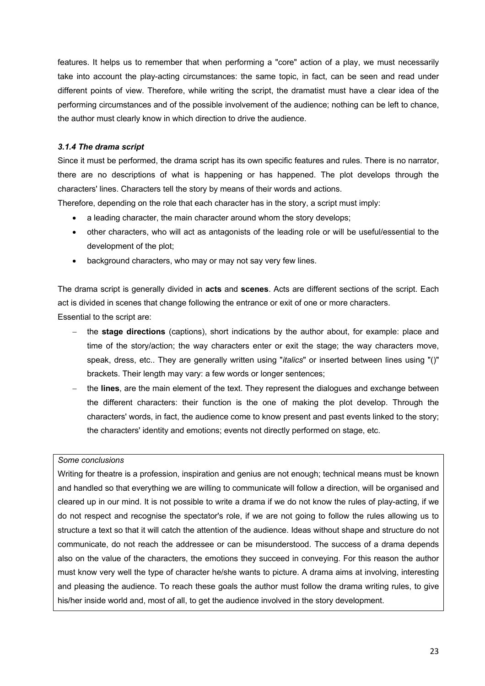features. It helps us to remember that when performing a "core" action of a play, we must necessarily take into account the play-acting circumstances: the same topic, in fact, can be seen and read under different points of view. Therefore, while writing the script, the dramatist must have a clear idea of the performing circumstances and of the possible involvement of the audience; nothing can be left to chance, the author must clearly know in which direction to drive the audience.

# *3.1.4 The drama script*

Since it must be performed, the drama script has its own specific features and rules. There is no narrator, there are no descriptions of what is happening or has happened. The plot develops through the characters' lines. Characters tell the story by means of their words and actions.

Therefore, depending on the role that each character has in the story, a script must imply:

- a leading character, the main character around whom the story develops;
- other characters, who will act as antagonists of the leading role or will be useful/essential to the development of the plot;
- background characters, who may or may not say very few lines.

The drama script is generally divided in **acts** and **scenes**. Acts are different sections of the script. Each act is divided in scenes that change following the entrance or exit of one or more characters. Essential to the script are:

- the **stage directions** (captions), short indications by the author about, for example: place and time of the story/action; the way characters enter or exit the stage; the way characters move, speak, dress, etc.. They are generally written using "*italics*" or inserted between lines using "()" brackets. Their length may vary: a few words or longer sentences;
- the **lines**, are the main element of the text. They represent the dialogues and exchange between the different characters: their function is the one of making the plot develop. Through the characters' words, in fact, the audience come to know present and past events linked to the story; the characters' identity and emotions; events not directly performed on stage, etc.

# *Some conclusions*

Writing for theatre is a profession, inspiration and genius are not enough; technical means must be known and handled so that everything we are willing to communicate will follow a direction, will be organised and cleared up in our mind. It is not possible to write a drama if we do not know the rules of play-acting, if we do not respect and recognise the spectator's role, if we are not going to follow the rules allowing us to structure a text so that it will catch the attention of the audience. Ideas without shape and structure do not communicate, do not reach the addressee or can be misunderstood. The success of a drama depends also on the value of the characters, the emotions they succeed in conveying. For this reason the author must know very well the type of character he/she wants to picture. A drama aims at involving, interesting and pleasing the audience. To reach these goals the author must follow the drama writing rules, to give his/her inside world and, most of all, to get the audience involved in the story development.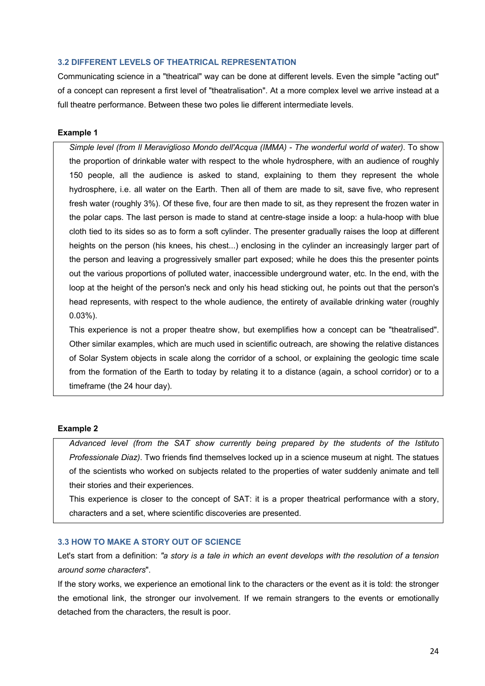#### **3.2 DIFFERENT LEVELS OF THEATRICAL REPRESENTATION**

Communicating science in a "theatrical" way can be done at different levels. Even the simple "acting out" of a concept can represent a first level of "theatralisation". At a more complex level we arrive instead at a full theatre performance. Between these two poles lie different intermediate levels.

## **Example 1**

*Simple level (from Il Meraviglioso Mondo dell'Acqua (IMMA) - The wonderful world of water)*. To show the proportion of drinkable water with respect to the whole hydrosphere, with an audience of roughly 150 people, all the audience is asked to stand, explaining to them they represent the whole hydrosphere, i.e. all water on the Earth. Then all of them are made to sit, save five, who represent fresh water (roughly 3%). Of these five, four are then made to sit, as they represent the frozen water in the polar caps. The last person is made to stand at centre-stage inside a loop: a hula-hoop with blue cloth tied to its sides so as to form a soft cylinder. The presenter gradually raises the loop at different heights on the person (his knees, his chest...) enclosing in the cylinder an increasingly larger part of the person and leaving a progressively smaller part exposed; while he does this the presenter points out the various proportions of polluted water, inaccessible underground water, etc. In the end, with the loop at the height of the person's neck and only his head sticking out, he points out that the person's head represents, with respect to the whole audience, the entirety of available drinking water (roughly 0.03%).

This experience is not a proper theatre show, but exemplifies how a concept can be "theatralised". Other similar examples, which are much used in scientific outreach, are showing the relative distances of Solar System objects in scale along the corridor of a school, or explaining the geologic time scale from the formation of the Earth to today by relating it to a distance (again, a school corridor) or to a timeframe (the 24 hour day).

#### **Example 2**

*Advanced level (from the SAT show currently being prepared by the students of the Istituto Professionale Diaz)*. Two friends find themselves locked up in a science museum at night. The statues of the scientists who worked on subjects related to the properties of water suddenly animate and tell their stories and their experiences.

This experience is closer to the concept of SAT: it is a proper theatrical performance with a story, characters and a set, where scientific discoveries are presented.

#### **3.3 HOW TO MAKE A STORY OUT OF SCIENCE**

Let's start from a definition: *"a story is a tale in which an event develops with the resolution of a tension around some characters*".

If the story works, we experience an emotional link to the characters or the event as it is told: the stronger the emotional link, the stronger our involvement. If we remain strangers to the events or emotionally detached from the characters, the result is poor.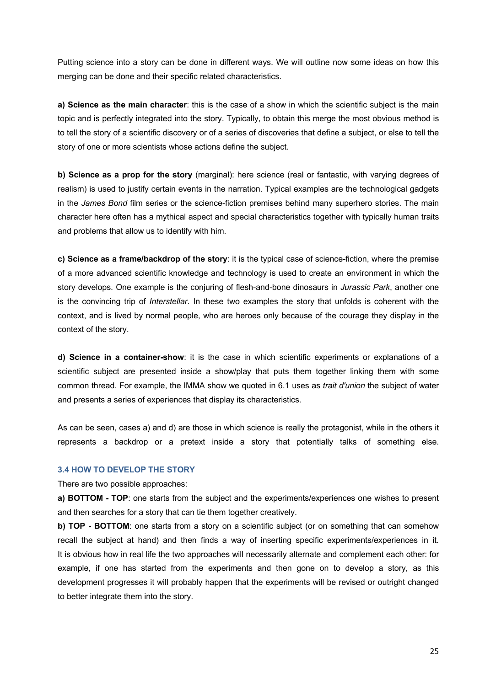Putting science into a story can be done in different ways. We will outline now some ideas on how this merging can be done and their specific related characteristics.

**a) Science as the main character**: this is the case of a show in which the scientific subject is the main topic and is perfectly integrated into the story. Typically, to obtain this merge the most obvious method is to tell the story of a scientific discovery or of a series of discoveries that define a subject, or else to tell the story of one or more scientists whose actions define the subject.

**b) Science as a prop for the story** (marginal): here science (real or fantastic, with varying degrees of realism) is used to justify certain events in the narration. Typical examples are the technological gadgets in the *James Bond* film series or the science-fiction premises behind many superhero stories. The main character here often has a mythical aspect and special characteristics together with typically human traits and problems that allow us to identify with him.

**c) Science as a frame/backdrop of the story**: it is the typical case of science-fiction, where the premise of a more advanced scientific knowledge and technology is used to create an environment in which the story develops. One example is the conjuring of flesh-and-bone dinosaurs in *Jurassic Park*, another one is the convincing trip of *Interstellar*. In these two examples the story that unfolds is coherent with the context, and is lived by normal people, who are heroes only because of the courage they display in the context of the story.

**d) Science in a container-show**: it is the case in which scientific experiments or explanations of a scientific subject are presented inside a show/play that puts them together linking them with some common thread. For example, the IMMA show we quoted in 6.1 uses as *trait d'union* the subject of water and presents a series of experiences that display its characteristics.

As can be seen, cases a) and d) are those in which science is really the protagonist, while in the others it represents a backdrop or a pretext inside a story that potentially talks of something else.

#### **3.4 HOW TO DEVELOP THE STORY**

#### There are two possible approaches:

**a) BOTTOM - TOP**: one starts from the subject and the experiments/experiences one wishes to present and then searches for a story that can tie them together creatively.

**b) TOP - BOTTOM**: one starts from a story on a scientific subject (or on something that can somehow recall the subject at hand) and then finds a way of inserting specific experiments/experiences in it. It is obvious how in real life the two approaches will necessarily alternate and complement each other: for example, if one has started from the experiments and then gone on to develop a story, as this development progresses it will probably happen that the experiments will be revised or outright changed to better integrate them into the story.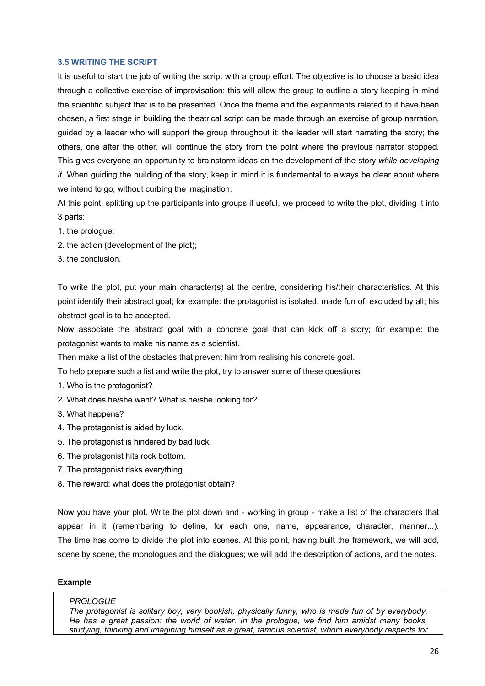# **3.5 WRITING THE SCRIPT**

It is useful to start the job of writing the script with a group effort. The objective is to choose a basic idea through a collective exercise of improvisation: this will allow the group to outline a story keeping in mind the scientific subject that is to be presented. Once the theme and the experiments related to it have been chosen, a first stage in building the theatrical script can be made through an exercise of group narration, guided by a leader who will support the group throughout it: the leader will start narrating the story; the others, one after the other, will continue the story from the point where the previous narrator stopped. This gives everyone an opportunity to brainstorm ideas on the development of the story *while developing it*. When guiding the building of the story, keep in mind it is fundamental to always be clear about where we intend to go, without curbing the imagination.

At this point, splitting up the participants into groups if useful, we proceed to write the plot, dividing it into 3 parts:

- 1. the prologue;
- 2. the action (development of the plot);
- 3. the conclusion.

To write the plot, put your main character(s) at the centre, considering his/their characteristics. At this point identify their abstract goal; for example: the protagonist is isolated, made fun of, excluded by all; his abstract goal is to be accepted.

Now associate the abstract goal with a concrete goal that can kick off a story; for example: the protagonist wants to make his name as a scientist.

Then make a list of the obstacles that prevent him from realising his concrete goal.

To help prepare such a list and write the plot, try to answer some of these questions:

- 1. Who is the protagonist?
- 2. What does he/she want? What is he/she looking for?
- 3. What happens?
- 4. The protagonist is aided by luck.
- 5. The protagonist is hindered by bad luck.
- 6. The protagonist hits rock bottom.
- 7. The protagonist risks everything.
- 8. The reward: what does the protagonist obtain?

Now you have your plot. Write the plot down and - working in group - make a list of the characters that appear in it (remembering to define, for each one, name, appearance, character, manner...). The time has come to divide the plot into scenes. At this point, having built the framework, we will add, scene by scene, the monologues and the dialogues; we will add the description of actions, and the notes.

# **Example**

#### *PROLOGUE*

*The protagonist is solitary boy, very bookish, physically funny, who is made fun of by everybody. He has a great passion: the world of water. In the prologue, we find him amidst many books, studying, thinking and imagining himself as a great, famous scientist, whom everybody respects for*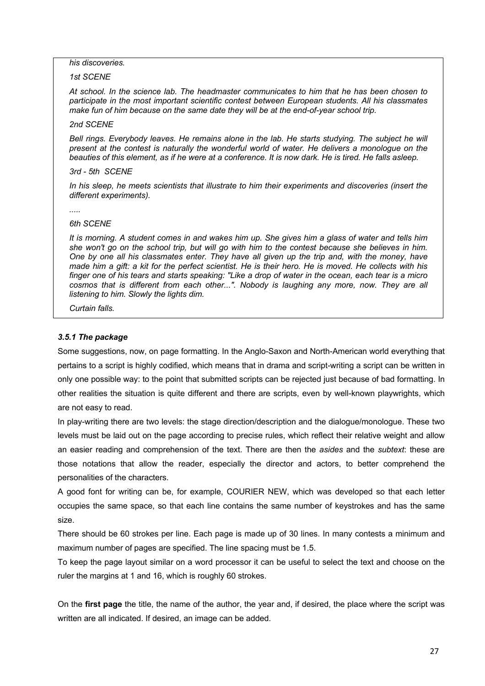#### *his discoveries.*

# *1st SCENE*

*At school. In the science lab. The headmaster communicates to him that he has been chosen to participate in the most important scientific contest between European students. All his classmates make fun of him because on the same date they will be at the end-of-year school trip.* 

#### *2nd SCENE*

*Bell rings. Everybody leaves. He remains alone in the lab. He starts studying. The subject he will present at the contest is naturally the wonderful world of water. He delivers a monologue on the beauties of this element, as if he were at a conference. It is now dark. He is tired. He falls asleep.* 

#### *3rd - 5th SCENE*

*In his sleep, he meets scientists that illustrate to him their experiments and discoveries (insert the different experiments).* 

*.....*

#### *6th SCENE*

*It is morning. A student comes in and wakes him up. She gives him a glass of water and tells him she won't go on the school trip, but will go with him to the contest because she believes in him. One by one all his classmates enter. They have all given up the trip and, with the money, have made him a gift: a kit for the perfect scientist. He is their hero. He is moved. He collects with his finger one of his tears and starts speaking: "Like a drop of water in the ocean, each tear is a micro cosmos that is different from each other...". Nobody is laughing any more, now. They are all listening to him. Slowly the lights dim.* 

*Curtain falls.*

# *3.5.1 The package*

Some suggestions, now, on page formatting. In the Anglo-Saxon and North-American world everything that pertains to a script is highly codified, which means that in drama and script-writing a script can be written in only one possible way: to the point that submitted scripts can be rejected just because of bad formatting. In other realities the situation is quite different and there are scripts, even by well-known playwrights, which are not easy to read.

In play-writing there are two levels: the stage direction/description and the dialogue/monologue. These two levels must be laid out on the page according to precise rules, which reflect their relative weight and allow an easier reading and comprehension of the text. There are then the *asides* and the *subtext*: these are those notations that allow the reader, especially the director and actors, to better comprehend the personalities of the characters.

A good font for writing can be, for example, COURIER NEW, which was developed so that each letter occupies the same space, so that each line contains the same number of keystrokes and has the same size.

There should be 60 strokes per line. Each page is made up of 30 lines. In many contests a minimum and maximum number of pages are specified. The line spacing must be 1.5.

To keep the page layout similar on a word processor it can be useful to select the text and choose on the ruler the margins at 1 and 16, which is roughly 60 strokes.

On the **first page** the title, the name of the author, the year and, if desired, the place where the script was written are all indicated. If desired, an image can be added.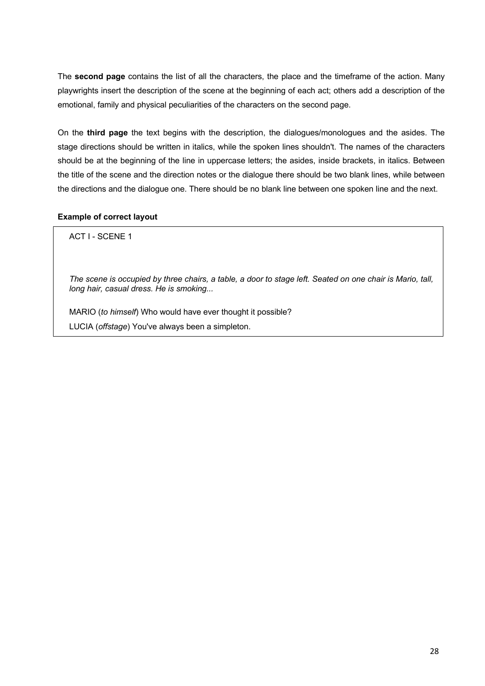The **second page** contains the list of all the characters, the place and the timeframe of the action. Many playwrights insert the description of the scene at the beginning of each act; others add a description of the emotional, family and physical peculiarities of the characters on the second page.

On the **third page** the text begins with the description, the dialogues/monologues and the asides. The stage directions should be written in italics, while the spoken lines shouldn't. The names of the characters should be at the beginning of the line in uppercase letters; the asides, inside brackets, in italics. Between the title of the scene and the direction notes or the dialogue there should be two blank lines, while between the directions and the dialogue one. There should be no blank line between one spoken line and the next.

# **Example of correct layout**

ACT I - SCENE 1

*The scene is occupied by three chairs, a table, a door to stage left. Seated on one chair is Mario, tall, long hair, casual dress. He is smoking...*

MARIO (*to himself*) Who would have ever thought it possible? LUCIA (*offstage*) You've always been a simpleton.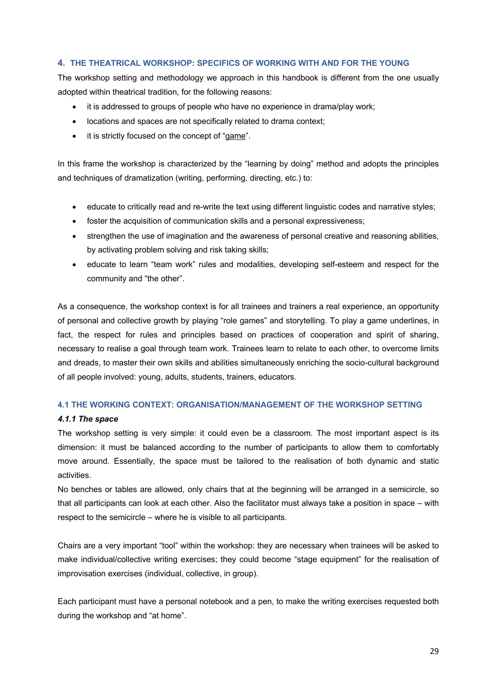# **4. THE THEATRICAL WORKSHOP: SPECIFICS OF WORKING WITH AND FOR THE YOUNG**

The workshop setting and methodology we approach in this handbook is different from the one usually adopted within theatrical tradition, for the following reasons:

- it is addressed to groups of people who have no experience in drama/play work;
- locations and spaces are not specifically related to drama context;
- it is strictly focused on the concept of "game".

In this frame the workshop is characterized by the "learning by doing" method and adopts the principles and techniques of dramatization (writing, performing, directing, etc.) to:

- educate to critically read and re-write the text using different linguistic codes and narrative styles;
- foster the acquisition of communication skills and a personal expressiveness;
- strengthen the use of imagination and the awareness of personal creative and reasoning abilities, by activating problem solving and risk taking skills;
- educate to learn "team work" rules and modalities, developing self-esteem and respect for the community and "the other".

As a consequence, the workshop context is for all trainees and trainers a real experience, an opportunity of personal and collective growth by playing "role games" and storytelling. To play a game underlines, in fact, the respect for rules and principles based on practices of cooperation and spirit of sharing, necessary to realise a goal through team work. Trainees learn to relate to each other, to overcome limits and dreads, to master their own skills and abilities simultaneously enriching the socio-cultural background of all people involved: young, adults, students, trainers, educators.

# **4.1 THE WORKING CONTEXT: ORGANISATION/MANAGEMENT OF THE WORKSHOP SETTING**

# *4.1.1 The space*

The workshop setting is very simple: it could even be a classroom. The most important aspect is its dimension: it must be balanced according to the number of participants to allow them to comfortably move around. Essentially, the space must be tailored to the realisation of both dynamic and static activities.

No benches or tables are allowed, only chairs that at the beginning will be arranged in a semicircle, so that all participants can look at each other. Also the facilitator must always take a position in space – with respect to the semicircle – where he is visible to all participants.

Chairs are a very important "tool" within the workshop: they are necessary when trainees will be asked to make individual/collective writing exercises; they could become "stage equipment" for the realisation of improvisation exercises (individual, collective, in group).

Each participant must have a personal notebook and a pen, to make the writing exercises requested both during the workshop and "at home".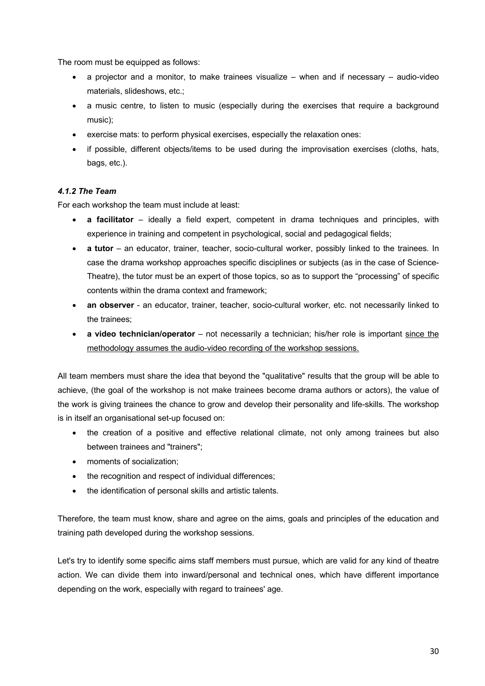The room must be equipped as follows:

- a projector and a monitor, to make trainees visualize when and if necessary audio-video materials, slideshows, etc.;
- a music centre, to listen to music (especially during the exercises that require a background music);
- exercise mats: to perform physical exercises, especially the relaxation ones:
- if possible, different objects/items to be used during the improvisation exercises (cloths, hats, bags, etc.).

# *4.1.2 The Team*

For each workshop the team must include at least:

- **a facilitator** ideally a field expert, competent in drama techniques and principles, with experience in training and competent in psychological, social and pedagogical fields;
- **a tutor** an educator, trainer, teacher, socio-cultural worker, possibly linked to the trainees. In case the drama workshop approaches specific disciplines or subjects (as in the case of Science-Theatre), the tutor must be an expert of those topics, so as to support the "processing" of specific contents within the drama context and framework;
- **an observer**  an educator, trainer, teacher, socio-cultural worker, etc. not necessarily linked to the trainees;
- **a video technician/operator** not necessarily a technician; his/her role is important since the methodology assumes the audio-video recording of the workshop sessions.

All team members must share the idea that beyond the "qualitative" results that the group will be able to achieve, (the goal of the workshop is not make trainees become drama authors or actors), the value of the work is giving trainees the chance to grow and develop their personality and life-skills. The workshop is in itself an organisational set-up focused on:

- the creation of a positive and effective relational climate, not only among trainees but also between trainees and "trainers";
- moments of socialization;
- the recognition and respect of individual differences;
- the identification of personal skills and artistic talents.

Therefore, the team must know, share and agree on the aims, goals and principles of the education and training path developed during the workshop sessions.

Let's try to identify some specific aims staff members must pursue, which are valid for any kind of theatre action. We can divide them into inward/personal and technical ones, which have different importance depending on the work, especially with regard to trainees' age.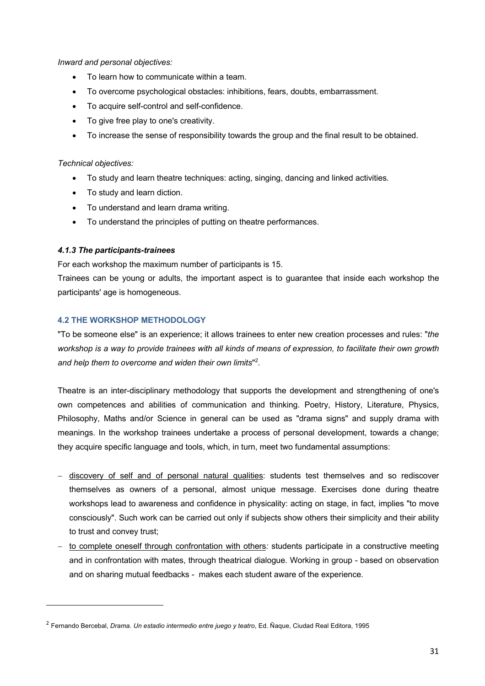# *Inward and personal objectives:*

- To learn how to communicate within a team.
- To overcome psychological obstacles: inhibitions, fears, doubts, embarrassment.
- To acquire self-control and self-confidence.
- To give free play to one's creativity.
- To increase the sense of responsibility towards the group and the final result to be obtained.

# *Technical objectives:*

- To study and learn theatre techniques: acting, singing, dancing and linked activities.
- To study and learn diction.
- To understand and learn drama writing.
- To understand the principles of putting on theatre performances.

# *4.1.3 The participants-trainees*

For each workshop the maximum number of participants is 15.

Trainees can be young or adults, the important aspect is to guarantee that inside each workshop the participants' age is homogeneous.

# **4.2 THE WORKSHOP METHODOLOGY**

"To be someone else" is an experience; it allows trainees to enter new creation processes and rules: "*the workshop is a way to provide trainees with all kinds of means of expression, to facilitate their own growth and help them to overcome and widen their own limits*"2 .

Theatre is an inter-disciplinary methodology that supports the development and strengthening of one's own competences and abilities of communication and thinking. Poetry, History, Literature, Physics, Philosophy, Maths and/or Science in general can be used as "drama signs" and supply drama with meanings. In the workshop trainees undertake a process of personal development, towards a change; they acquire specific language and tools, which, in turn, meet two fundamental assumptions:

- discovery of self and of personal natural qualities: students test themselves and so rediscover themselves as owners of a personal, almost unique message. Exercises done during theatre workshops lead to awareness and confidence in physicality: acting on stage, in fact, implies "to move consciously". Such work can be carried out only if subjects show others their simplicity and their ability to trust and convey trust;
- to complete oneself through confrontation with others: students participate in a constructive meeting and in confrontation with mates, through theatrical dialogue. Working in group - based on observation and on sharing mutual feedbacks - makes each student aware of the experience.

<sup>2</sup> Fernando Bercebal, *Drama. Un estadio intermedio entre juego y teatro*, Ed. Ñaque, Ciudad Real Editora, 1995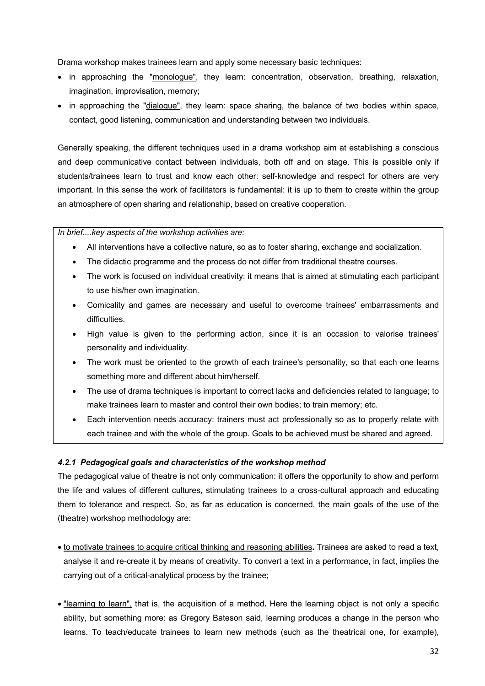Drama workshop makes trainees learn and apply some necessary basic techniques:

- in approaching the "monologue", they learn: concentration, observation, breathing, relaxation, imagination, improvisation, memory;
- in approaching the "dialogue", they learn: space sharing, the balance of two bodies within space, contact, good listening, communication and understanding between two individuals.

Generally speaking, the different techniques used in a drama workshop aim at establishing a conscious and deep communicative contact between individuals, both off and on stage. This is possible only if students/trainees learn to trust and know each other: self-knowledge and respect for others are very important. In this sense the work of facilitators is fundamental: it is up to them to create within the group an atmosphere of open sharing and relationship, based on creative cooperation.

*In brief....key aspects of the workshop activities are:*

- All interventions have a collective nature, so as to foster sharing, exchange and socialization.
- The didactic programme and the process do not differ from traditional theatre courses.
- The work is focused on individual creativity: it means that is aimed at stimulating each participant to use his/her own imagination.
- Comicality and games are necessary and useful to overcome trainees' embarrassments and difficulties.
- High value is given to the performing action, since it is an occasion to valorise trainees' personality and individuality.
- The work must be oriented to the growth of each trainee's personality, so that each one learns something more and different about him/herself.
- The use of drama techniques is important to correct lacks and deficiencies related to language; to make trainees learn to master and control their own bodies; to train memory; etc.
- Each intervention needs accuracy: trainers must act professionally so as to properly relate with each trainee and with the whole of the group. Goals to be achieved must be shared and agreed.

# *4.2.1 Pedagogical goals and characteristics of the workshop method*

The pedagogical value of theatre is not only communication: it offers the opportunity to show and perform the life and values of different cultures, stimulating trainees to a cross-cultural approach and educating them to tolerance and respect. So, as far as education is concerned, the main goals of the use of the (theatre) workshop methodology are:

- to motivate trainees to acquire critical thinking and reasoning abilities**.** Trainees are asked to read a text, analyse it and re-create it by means of creativity. To convert a text in a performance, in fact, implies the carrying out of a critical-analytical process by the trainee;
- "learning to learn", that is, the acquisition of a method**.** Here the learning object is not only a specific ability, but something more: as Gregory Bateson said, learning produces a change in the person who learns. To teach/educate trainees to learn new methods (such as the theatrical one, for example),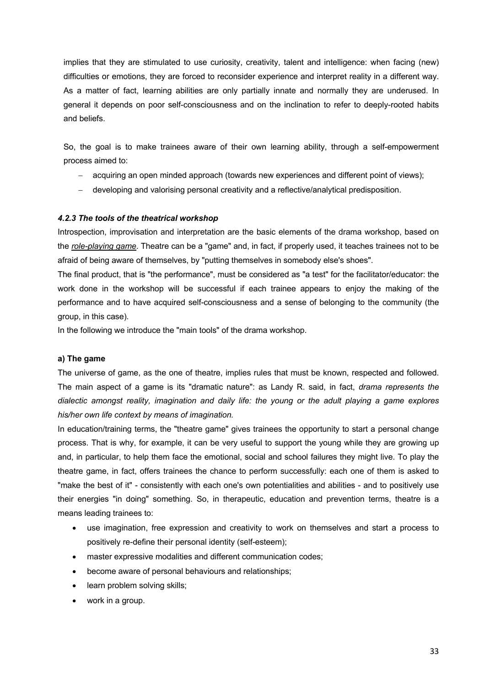implies that they are stimulated to use curiosity, creativity, talent and intelligence: when facing (new) difficulties or emotions, they are forced to reconsider experience and interpret reality in a different way. As a matter of fact, learning abilities are only partially innate and normally they are underused. In general it depends on poor self-consciousness and on the inclination to refer to deeply-rooted habits and beliefs.

So, the goal is to make trainees aware of their own learning ability, through a self-empowerment process aimed to:

- acquiring an open minded approach (towards new experiences and different point of views);
- developing and valorising personal creativity and a reflective/analytical predisposition.

# *4.2.3 The tools of the theatrical workshop*

Introspection, improvisation and interpretation are the basic elements of the drama workshop, based on the *role-playing game*. Theatre can be a "game" and, in fact, if properly used, it teaches trainees not to be afraid of being aware of themselves, by "putting themselves in somebody else's shoes".

The final product, that is "the performance", must be considered as "a test" for the facilitator/educator: the work done in the workshop will be successful if each trainee appears to enjoy the making of the performance and to have acquired self-consciousness and a sense of belonging to the community (the group, in this case).

In the following we introduce the "main tools" of the drama workshop.

#### **a) The game**

The universe of game, as the one of theatre, implies rules that must be known, respected and followed. The main aspect of a game is its "dramatic nature": as Landy R. said, in fact, *drama represents the dialectic amongst reality, imagination and daily life: the young or the adult playing a game explores his/her own life context by means of imagination.*

In education/training terms, the "theatre game" gives trainees the opportunity to start a personal change process. That is why, for example, it can be very useful to support the young while they are growing up and, in particular, to help them face the emotional, social and school failures they might live. To play the theatre game, in fact, offers trainees the chance to perform successfully: each one of them is asked to "make the best of it" - consistently with each one's own potentialities and abilities - and to positively use their energies "in doing" something. So, in therapeutic, education and prevention terms, theatre is a means leading trainees to:

- use imagination, free expression and creativity to work on themselves and start a process to positively re-define their personal identity (self-esteem);
- master expressive modalities and different communication codes;
- become aware of personal behaviours and relationships;
- learn problem solving skills;
- work in a group.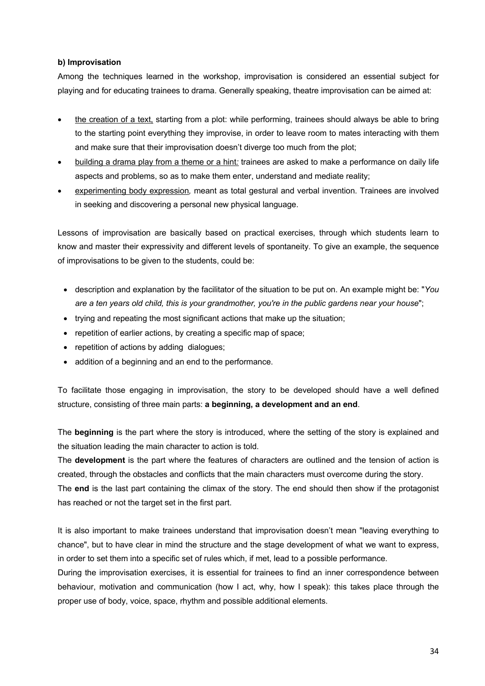# **b) Improvisation**

Among the techniques learned in the workshop, improvisation is considered an essential subject for playing and for educating trainees to drama. Generally speaking, theatre improvisation can be aimed at:

- the creation of a text, starting from a plot: while performing, trainees should always be able to bring to the starting point everything they improvise, in order to leave room to mates interacting with them and make sure that their improvisation doesn't diverge too much from the plot;
- building a drama play from a theme or a hint*:* trainees are asked to make a performance on daily life aspects and problems, so as to make them enter, understand and mediate reality;
- experimenting body expression*,* meant as total gestural and verbal invention. Trainees are involved in seeking and discovering a personal new physical language.

Lessons of improvisation are basically based on practical exercises, through which students learn to know and master their expressivity and different levels of spontaneity. To give an example, the sequence of improvisations to be given to the students, could be:

- description and explanation by the facilitator of the situation to be put on. An example might be: "*You are a ten years old child, this is your grandmother, you're in the public gardens near your house*";
- trying and repeating the most significant actions that make up the situation;
- repetition of earlier actions, by creating a specific map of space;
- repetition of actions by adding dialogues;
- addition of a beginning and an end to the performance.

To facilitate those engaging in improvisation, the story to be developed should have a well defined structure, consisting of three main parts: **a beginning, a development and an end**.

The **beginning** is the part where the story is introduced, where the setting of the story is explained and the situation leading the main character to action is told.

The **development** is the part where the features of characters are outlined and the tension of action is created, through the obstacles and conflicts that the main characters must overcome during the story. The **end** is the last part containing the climax of the story. The end should then show if the protagonist

has reached or not the target set in the first part.

It is also important to make trainees understand that improvisation doesn't mean "leaving everything to chance", but to have clear in mind the structure and the stage development of what we want to express, in order to set them into a specific set of rules which, if met, lead to a possible performance.

During the improvisation exercises, it is essential for trainees to find an inner correspondence between behaviour, motivation and communication (how I act, why, how I speak): this takes place through the proper use of body, voice, space, rhythm and possible additional elements.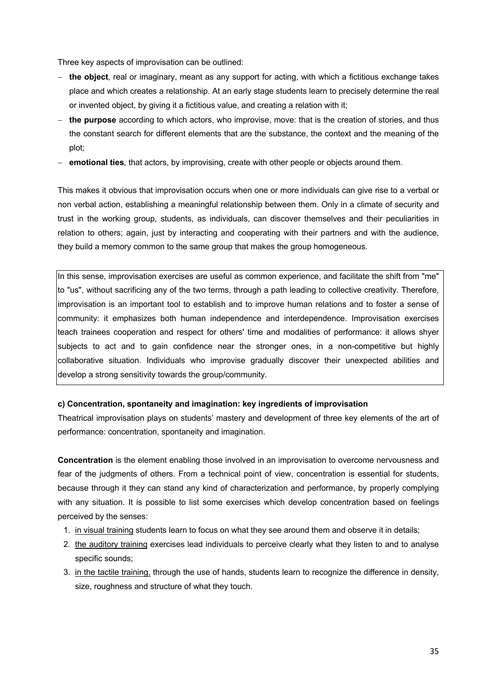Three key aspects of improvisation can be outlined:

- **the object***,* real or imaginary, meant as any support for acting, with which a fictitious exchange takes place and which creates a relationship. At an early stage students learn to precisely determine the real or invented object, by giving it a fictitious value, and creating a relation with it;
- **the purpose** according to which actors, who improvise, move: that is the creation of stories, and thus the constant search for different elements that are the substance, the context and the meaning of the plot;
- emotional ties, that actors, by improvising, create with other people or objects around them.

This makes it obvious that improvisation occurs when one or more individuals can give rise to a verbal or non verbal action, establishing a meaningful relationship between them. Only in a climate of security and trust in the working group, students, as individuals, can discover themselves and their peculiarities in relation to others; again, just by interacting and cooperating with their partners and with the audience, they build a memory common to the same group that makes the group homogeneous.

In this sense, improvisation exercises are useful as common experience, and facilitate the shift from "me" to "us", without sacrificing any of the two terms, through a path leading to collective creativity. Therefore, improvisation is an important tool to establish and to improve human relations and to foster a sense of community: it emphasizes both human independence and interdependence. Improvisation exercises teach trainees cooperation and respect for others' time and modalities of performance: it allows shyer subjects to act and to gain confidence near the stronger ones, in a non-competitive but highly collaborative situation. Individuals who improvise gradually discover their unexpected abilities and develop a strong sensitivity towards the group/community.

# **c) Concentration, spontaneity and imagination: key ingredients of improvisation**

Theatrical improvisation plays on students' mastery and development of three key elements of the art of performance: concentration, spontaneity and imagination.

**Concentration** is the element enabling those involved in an improvisation to overcome nervousness and fear of the judgments of others. From a technical point of view, concentration is essential for students, because through it they can stand any kind of characterization and performance, by properly complying with any situation. It is possible to list some exercises which develop concentration based on feelings perceived by the senses:

- 1. in visual training students learn to focus on what they see around them and observe it in details;
- 2. the auditory training exercises lead individuals to perceive clearly what they listen to and to analyse specific sounds;
- 3. in the tactile training, through the use of hands, students learn to recognize the difference in density, size, roughness and structure of what they touch.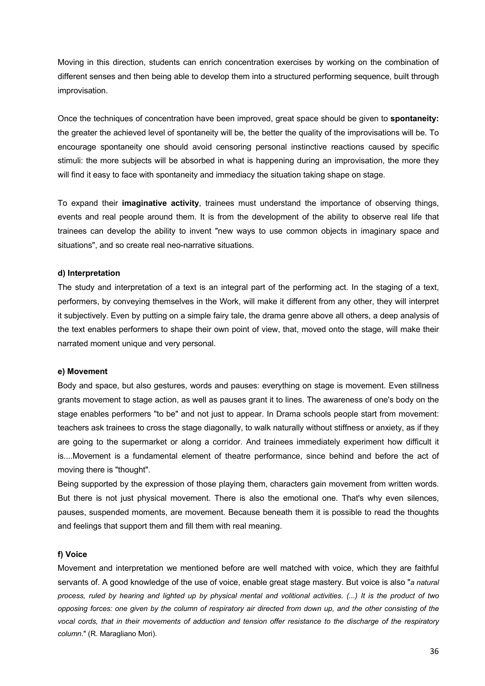Moving in this direction, students can enrich concentration exercises by working on the combination of different senses and then being able to develop them into a structured performing sequence, built through improvisation.

Once the techniques of concentration have been improved, great space should be given to **spontaneity:** the greater the achieved level of spontaneity will be, the better the quality of the improvisations will be. To encourage spontaneity one should avoid censoring personal instinctive reactions caused by specific stimuli: the more subjects will be absorbed in what is happening during an improvisation, the more they will find it easy to face with spontaneity and immediacy the situation taking shape on stage.

To expand their **imaginative activity**, trainees must understand the importance of observing things, events and real people around them. It is from the development of the ability to observe real life that trainees can develop the ability to invent "new ways to use common objects in imaginary space and situations", and so create real neo-narrative situations.

#### **d) Interpretation**

The study and interpretation of a text is an integral part of the performing act. In the staging of a text, performers, by conveying themselves in the Work, will make it different from any other, they will interpret it subjectively. Even by putting on a simple fairy tale, the drama genre above all others, a deep analysis of the text enables performers to shape their own point of view, that, moved onto the stage, will make their narrated moment unique and very personal.

#### **e) Movement**

Body and space, but also gestures, words and pauses: everything on stage is movement. Even stillness grants movement to stage action, as well as pauses grant it to lines. The awareness of one's body on the stage enables performers "to be" and not just to appear. In Drama schools people start from movement: teachers ask trainees to cross the stage diagonally, to walk naturally without stiffness or anxiety, as if they are going to the supermarket or along a corridor. And trainees immediately experiment how difficult it is....Movement is a fundamental element of theatre performance, since behind and before the act of moving there is "thought".

Being supported by the expression of those playing them, characters gain movement from written words. But there is not just physical movement. There is also the emotional one. That's why even silences, pauses, suspended moments, are movement. Because beneath them it is possible to read the thoughts and feelings that support them and fill them with real meaning.

# **f) Voice**

Movement and interpretation we mentioned before are well matched with voice, which they are faithful servants of. A good knowledge of the use of voice, enable great stage mastery. But voice is also "*a natural process, ruled by hearing and lighted up by physical mental and volitional activities. (...) It is the product of two opposing forces: one given by the column of respiratory air directed from down up, and the other consisting of the vocal cords, that in their movements of adduction and tension offer resistance to the discharge of the respiratory column*." (R. Maragliano Mori).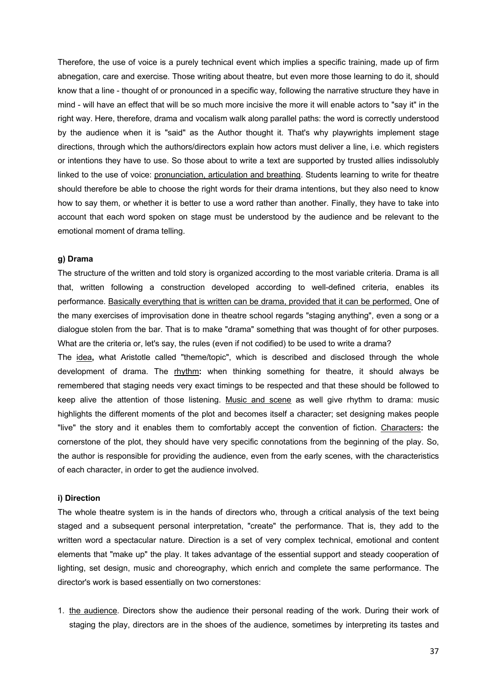Therefore, the use of voice is a purely technical event which implies a specific training, made up of firm abnegation, care and exercise. Those writing about theatre, but even more those learning to do it, should know that a line - thought of or pronounced in a specific way, following the narrative structure they have in mind - will have an effect that will be so much more incisive the more it will enable actors to "say it" in the right way. Here, therefore, drama and vocalism walk along parallel paths: the word is correctly understood by the audience when it is "said" as the Author thought it. That's why playwrights implement stage directions, through which the authors/directors explain how actors must deliver a line, i.e. which registers or intentions they have to use. So those about to write a text are supported by trusted allies indissolubly linked to the use of voice: pronunciation, articulation and breathing. Students learning to write for theatre should therefore be able to choose the right words for their drama intentions, but they also need to know how to say them, or whether it is better to use a word rather than another. Finally, they have to take into account that each word spoken on stage must be understood by the audience and be relevant to the emotional moment of drama telling.

#### **g) Drama**

The structure of the written and told story is organized according to the most variable criteria. Drama is all that, written following a construction developed according to well-defined criteria, enables its performance. Basically everything that is written can be drama, provided that it can be performed. One of the many exercises of improvisation done in theatre school regards "staging anything", even a song or a dialogue stolen from the bar. That is to make "drama" something that was thought of for other purposes. What are the criteria or, let's say, the rules (even if not codified) to be used to write a drama?

The idea**,** what Aristotle called "theme/topic", which is described and disclosed through the whole development of drama. The rhythm**:** when thinking something for theatre, it should always be remembered that staging needs very exact timings to be respected and that these should be followed to keep alive the attention of those listening. Music and scene as well give rhythm to drama: music highlights the different moments of the plot and becomes itself a character; set designing makes people "live" the story and it enables them to comfortably accept the convention of fiction. Characters**:** the cornerstone of the plot, they should have very specific connotations from the beginning of the play. So, the author is responsible for providing the audience, even from the early scenes, with the characteristics of each character, in order to get the audience involved.

#### **i) Direction**

The whole theatre system is in the hands of directors who, through a critical analysis of the text being staged and a subsequent personal interpretation, "create" the performance. That is, they add to the written word a spectacular nature. Direction is a set of very complex technical, emotional and content elements that "make up" the play. It takes advantage of the essential support and steady cooperation of lighting, set design, music and choreography, which enrich and complete the same performance. The director's work is based essentially on two cornerstones:

1. the audience. Directors show the audience their personal reading of the work. During their work of staging the play, directors are in the shoes of the audience, sometimes by interpreting its tastes and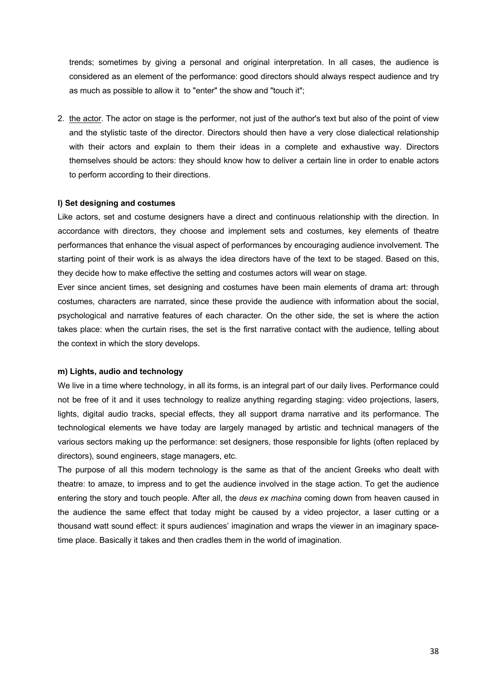trends; sometimes by giving a personal and original interpretation. In all cases, the audience is considered as an element of the performance: good directors should always respect audience and try as much as possible to allow it to "enter" the show and "touch it";

2. the actor. The actor on stage is the performer, not just of the author's text but also of the point of view and the stylistic taste of the director. Directors should then have a very close dialectical relationship with their actors and explain to them their ideas in a complete and exhaustive way. Directors themselves should be actors: they should know how to deliver a certain line in order to enable actors to perform according to their directions.

#### **l) Set designing and costumes**

Like actors, set and costume designers have a direct and continuous relationship with the direction. In accordance with directors, they choose and implement sets and costumes, key elements of theatre performances that enhance the visual aspect of performances by encouraging audience involvement. The starting point of their work is as always the idea directors have of the text to be staged. Based on this, they decide how to make effective the setting and costumes actors will wear on stage.

Ever since ancient times, set designing and costumes have been main elements of drama art: through costumes, characters are narrated, since these provide the audience with information about the social, psychological and narrative features of each character. On the other side, the set is where the action takes place: when the curtain rises, the set is the first narrative contact with the audience, telling about the context in which the story develops.

#### **m) Lights, audio and technology**

We live in a time where technology, in all its forms, is an integral part of our daily lives. Performance could not be free of it and it uses technology to realize anything regarding staging: video projections, lasers, lights, digital audio tracks, special effects, they all support drama narrative and its performance. The technological elements we have today are largely managed by artistic and technical managers of the various sectors making up the performance: set designers, those responsible for lights (often replaced by directors), sound engineers, stage managers, etc.

The purpose of all this modern technology is the same as that of the ancient Greeks who dealt with theatre: to amaze, to impress and to get the audience involved in the stage action. To get the audience entering the story and touch people. After all, the *deus ex machina* coming down from heaven caused in the audience the same effect that today might be caused by a video projector, a laser cutting or a thousand watt sound effect: it spurs audiences' imagination and wraps the viewer in an imaginary spacetime place. Basically it takes and then cradles them in the world of imagination.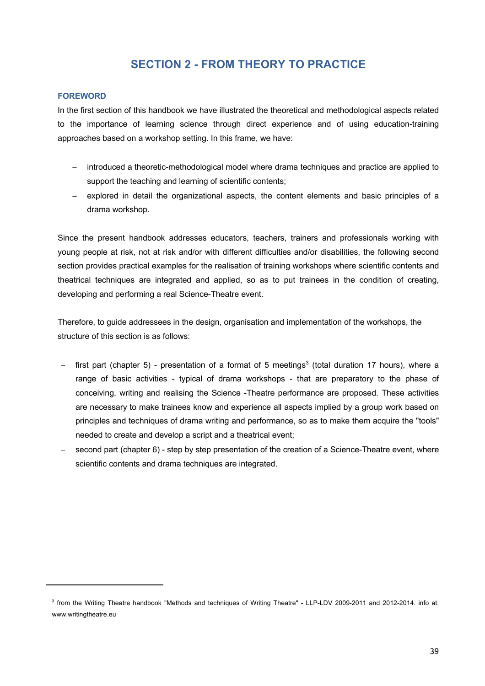# **SECTION 2 - FROM THEORY TO PRACTICE**

# **FOREWORD**

In the first section of this handbook we have illustrated the theoretical and methodological aspects related to the importance of learning science through direct experience and of using education-training approaches based on a workshop setting. In this frame, we have:

- introduced a theoretic-methodological model where drama techniques and practice are applied to support the teaching and learning of scientific contents;
- explored in detail the organizational aspects, the content elements and basic principles of a drama workshop.

Since the present handbook addresses educators, teachers, trainers and professionals working with young people at risk, not at risk and/or with different difficulties and/or disabilities, the following second section provides practical examples for the realisation of training workshops where scientific contents and theatrical techniques are integrated and applied, so as to put trainees in the condition of creating, developing and performing a real Science-Theatre event.

Therefore, to guide addressees in the design, organisation and implementation of the workshops, the structure of this section is as follows:

- first part (chapter 5) presentation of a format of 5 meetings<sup>3</sup> (total duration 17 hours), where a range of basic activities - typical of drama workshops - that are preparatory to the phase of conceiving, writing and realising the Science -Theatre performance are proposed. These activities are necessary to make trainees know and experience all aspects implied by a group work based on principles and techniques of drama writing and performance, so as to make them acquire the "tools" needed to create and develop a script and a theatrical event;
- second part (chapter 6) step by step presentation of the creation of a Science-Theatre event, where scientific contents and drama techniques are integrated.

<sup>&</sup>lt;sup>3</sup> from the Writing Theatre handbook "Methods and techniques of Writing Theatre" - LLP-LDV 2009-2011 and 2012-2014. info at: www.writingtheatre.eu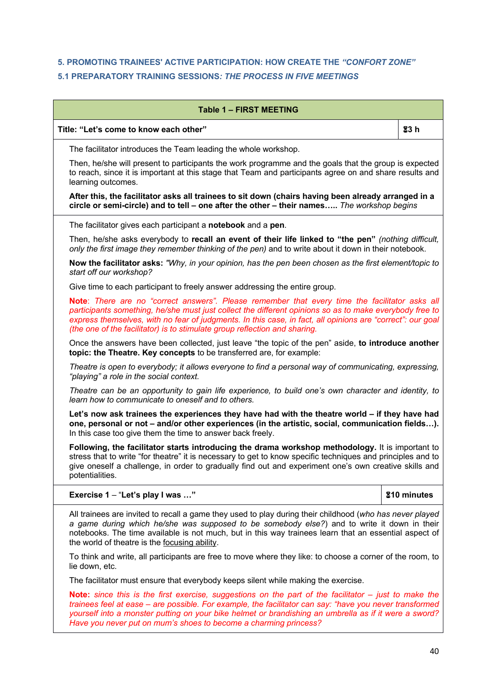# **5. PROMOTING TRAINEES' ACTIVE PARTICIPATION: HOW CREATE THE** *"CONFORT ZONE"*  **5.1 PREPARATORY TRAINING SESSIONS***: THE PROCESS IN FIVE MEETINGS*

| <b>Table 1 - FIRST MEETING</b>                                                                                                                                                                                                                                                                                                                                                                        |                    |
|-------------------------------------------------------------------------------------------------------------------------------------------------------------------------------------------------------------------------------------------------------------------------------------------------------------------------------------------------------------------------------------------------------|--------------------|
| Title: "Let's come to know each other"                                                                                                                                                                                                                                                                                                                                                                | 83h                |
| The facilitator introduces the Team leading the whole workshop.                                                                                                                                                                                                                                                                                                                                       |                    |
| Then, he/she will present to participants the work programme and the goals that the group is expected<br>to reach, since it is important at this stage that Team and participants agree on and share results and<br>learning outcomes.                                                                                                                                                                |                    |
| After this, the facilitator asks all trainees to sit down (chairs having been already arranged in a<br>circle or semi-circle) and to tell - one after the other - their names The workshop begins                                                                                                                                                                                                     |                    |
| The facilitator gives each participant a <b>notebook</b> and a <b>pen</b> .                                                                                                                                                                                                                                                                                                                           |                    |
| Then, he/she asks everybody to recall an event of their life linked to "the pen" (nothing difficult,<br>only the first image they remember thinking of the pen) and to write about it down in their notebook.                                                                                                                                                                                         |                    |
| Now the facilitator asks: "Why, in your opinion, has the pen been chosen as the first element/topic to<br>start off our workshop?                                                                                                                                                                                                                                                                     |                    |
| Give time to each participant to freely answer addressing the entire group.                                                                                                                                                                                                                                                                                                                           |                    |
| Note: There are no "correct answers". Please remember that every time the facilitator asks all<br>participants something, he/she must just collect the different opinions so as to make everybody free to<br>express themselves, with no fear of judgments. In this case, in fact, all opinions are "correct": our goal<br>(the one of the facilitator) is to stimulate group reflection and sharing. |                    |
| Once the answers have been collected, just leave "the topic of the pen" aside, to introduce another<br>topic: the Theatre. Key concepts to be transferred are, for example:                                                                                                                                                                                                                           |                    |
| Theatre is open to everybody; it allows everyone to find a personal way of communicating, expressing,<br>"playing" a role in the social context.                                                                                                                                                                                                                                                      |                    |
| Theatre can be an opportunity to gain life experience, to build one's own character and identity, to<br>learn how to communicate to oneself and to others.                                                                                                                                                                                                                                            |                    |
| Let's now ask trainees the experiences they have had with the theatre world – if they have had<br>one, personal or not - and/or other experiences (in the artistic, social, communication fields).<br>In this case too give them the time to answer back freely.                                                                                                                                      |                    |
| Following, the facilitator starts introducing the drama workshop methodology. It is important to<br>stress that to write "for theatre" it is necessary to get to know specific techniques and principles and to<br>give oneself a challenge, in order to gradually find out and experiment one's own creative skills and<br>potentialities.                                                           |                    |
| Exercise 1 - "Let's play I was "                                                                                                                                                                                                                                                                                                                                                                      | <b>810 minutes</b> |
| All trainees are invited to recall a game they used to play during their childhood (who has never played<br>a game during which he/she was supposed to be somebody else?) and to write it down in their<br>notebooks. The time available is not much, but in this way trainees learn that an essential aspect of<br>the world of theatre is the focusing ability.                                     |                    |
| To think and write, all participants are free to move where they like: to choose a corner of the room, to<br>lie down, etc.                                                                                                                                                                                                                                                                           |                    |
| The facilitator must ensure that everybody keeps silent while making the exercise.                                                                                                                                                                                                                                                                                                                    |                    |
| <b>Note:</b> since this is the first exercise, suggestions on the part of the facilitator $-$ just to make the<br>trainees feel at ease – are possible. For example, the facilitator can say: "baye you never transformed                                                                                                                                                                             |                    |

*trainees feel at ease – are possible. For example, the facilitator can say: "have you never transformed yourself into a monster putting on your bike helmet or brandishing an umbrella as if it were a sword? Have you never put on mum's shoes to become a charming princess?*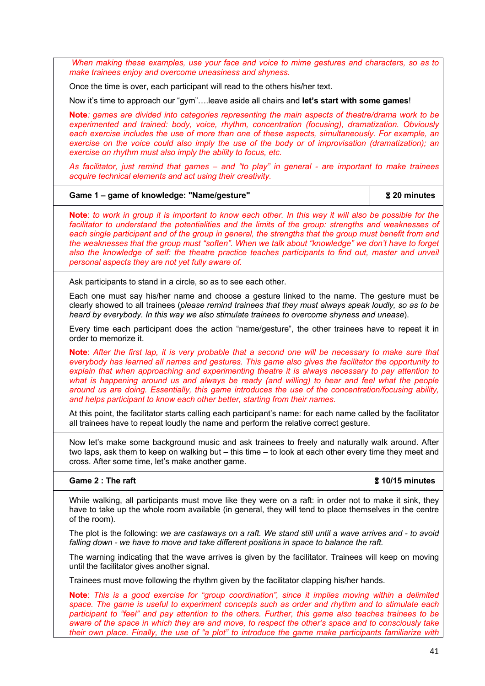*When making these examples, use your face and voice to mime gestures and characters, so as to make trainees enjoy and overcome uneasiness and shyness.*

Once the time is over, each participant will read to the others his/her text.

Now it's time to approach our "gym"….leave aside all chairs and **let's start with some games**!

**Note***: games are divided into categories representing the main aspects of theatre/drama work to be experimented and trained: body, voice, rhythm, concentration (focusing), dramatization. Obviously*  each exercise includes the use of more than one of these aspects, simultaneously. For example, an *exercise on the voice could also imply the use of the body or of improvisation (dramatization); an exercise on rhythm must also imply the ability to focus, etc.*

*As facilitator, just remind that games – and "to play" in general - are important to make trainees acquire technical elements and act using their creativity.* 

**Game 1 – game of knowledge: "Name/gesture"** 6 **20 minutes**

**Note**: *to work in group it is important to know each other. In this way it will also be possible for the*  facilitator to understand the potentialities and the limits of the group: strengths and weaknesses of *each single participant and of the group in general, the strengths that the group must benefit from and the weaknesses that the group must "soften". When we talk about "knowledge" we don't have to forget*  also the knowledge of self: the theatre practice teaches participants to find out, master and unveil *personal aspects they are not yet fully aware of.*

Ask participants to stand in a circle, so as to see each other.

Each one must say his/her name and choose a gesture linked to the name. The gesture must be clearly showed to all trainees (*please remind trainees that they must always speak loudly, so as to be heard by everybody. In this way we also stimulate trainees to overcome shyness and unease*).

Every time each participant does the action "name/gesture", the other trainees have to repeat it in order to memorize it.

**Note**: *After the first lap, it is very probable that a second one will be necessary to make sure that everybody has learned all names and gestures. This game also gives the facilitator the opportunity to explain that when approaching and experimenting theatre it is always necessary to pay attention to*  what is happening around us and always be ready (and willing) to hear and feel what the people *around us are doing. Essentially, this game introduces the use of the concentration/focusing ability, and helps participant to know each other better, starting from their names.*

At this point, the facilitator starts calling each participant's name: for each name called by the facilitator all trainees have to repeat loudly the name and perform the relative correct gesture.

Now let's make some background music and ask trainees to freely and naturally walk around. After two laps, ask them to keep on walking but – this time – to look at each other every time they meet and cross. After some time, let's make another game.

# **Game 2 : The raft** 6 **10/15 minutes**

While walking, all participants must move like they were on a raft: in order not to make it sink, they have to take up the whole room available (in general, they will tend to place themselves in the centre of the room).

The plot is the following: *we are castaways on a raft. We stand still until a wave arrives and - to avoid falling down - we have to move and take different positions in space to balance the raft.*

The warning indicating that the wave arrives is given by the facilitator. Trainees will keep on moving until the facilitator gives another signal.

Trainees must move following the rhythm given by the facilitator clapping his/her hands.

**Note**: *This is a good exercise for "group coordination", since it implies moving within a delimited space. The game is useful to experiment concepts such as order and rhythm and to stimulate each participant to "feel" and pay attention to the others. Further, this game also teaches trainees to be aware of the space in which they are and move, to respect the other's space and to consciously take their own place. Finally, the use of "a plot" to introduce the game make participants familiarize with*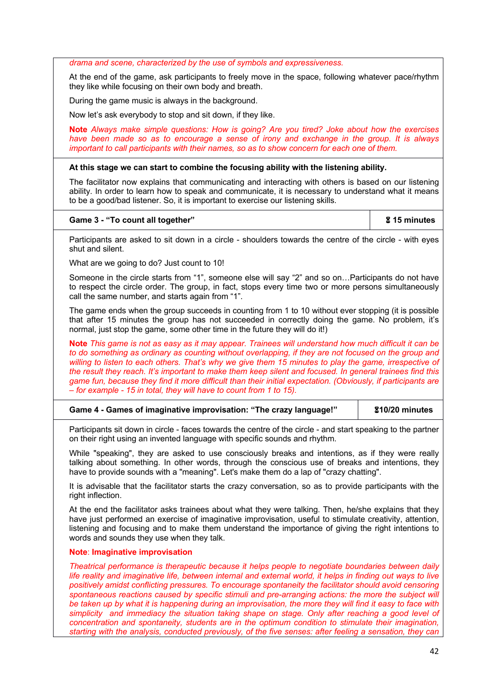*drama and scene, characterized by the use of symbols and expressiveness.*

At the end of the game, ask participants to freely move in the space, following whatever pace/rhythm they like while focusing on their own body and breath.

During the game music is always in the background.

Now let's ask everybody to stop and sit down, if they like.

**Note** *Always make simple questions: How is going? Are you tired? Joke about how the exercises have been made so as to encourage a sense of irony and exchange in the group. It is always important to call participants with their names, so as to show concern for each one of them.*

**At this stage we can start to combine the focusing ability with the listening ability.**

The facilitator now explains that communicating and interacting with others is based on our listening ability. In order to learn how to speak and communicate, it is necessary to understand what it means to be a good/bad listener. So, it is important to exercise our listening skills.

#### **Game 3 - "To count all together"** 6 **15 minutes**

Participants are asked to sit down in a circle - shoulders towards the centre of the circle - with eyes shut and silent.

What are we going to do? Just count to 10!

Someone in the circle starts from "1", someone else will say "2" and so on…Participants do not have to respect the circle order. The group, in fact, stops every time two or more persons simultaneously call the same number, and starts again from "1".

The game ends when the group succeeds in counting from 1 to 10 without ever stopping (it is possible that after 15 minutes the group has not succeeded in correctly doing the game. No problem, it's normal, just stop the game, some other time in the future they will do it!)

**Note** *This game is not as easy as it may appear. Trainees will understand how much difficult it can be to do something as ordinary as counting without overlapping, if they are not focused on the group and willing to listen to each others. That's why we give them 15 minutes to play the game, irrespective of the result they reach. It's important to make them keep silent and focused. In general trainees find this game fun, because they find it more difficult than their initial expectation. (Obviously, if participants are – for example - 15 in total, they will have to count from 1 to 15).* 

| Game 4 - Games of imaginative improvisation: "The crazy language!" | <b>210/20 minutes</b> |
|--------------------------------------------------------------------|-----------------------|
|--------------------------------------------------------------------|-----------------------|

Participants sit down in circle - faces towards the centre of the circle - and start speaking to the partner on their right using an invented language with specific sounds and rhythm.

While "speaking", they are asked to use consciously breaks and intentions, as if they were really talking about something. In other words, through the conscious use of breaks and intentions, they have to provide sounds with a "meaning". Let's make them do a lap of "crazy chatting".

It is advisable that the facilitator starts the crazy conversation, so as to provide participants with the right inflection.

At the end the facilitator asks trainees about what they were talking. Then, he/she explains that they have just performed an exercise of imaginative improvisation, useful to stimulate creativity, attention, listening and focusing and to make them understand the importance of giving the right intentions to words and sounds they use when they talk.

# **Note**: **Imaginative improvisation**

*Theatrical performance is therapeutic because it helps people to negotiate boundaries between daily life reality and imaginative life, between internal and external world, it helps in finding out ways to live positively amidst conflicting pressures. To encourage spontaneity the facilitator should avoid censoring spontaneous reactions caused by specific stimuli and pre-arranging actions: the more the subject will be taken up by what it is happening during an improvisation, the more they will find it easy to face with simplicity and immediacy the situation taking shape on stage. Only after reaching a good level of concentration and spontaneity, students are in the optimum condition to stimulate their imagination, starting with the analysis, conducted previously, of the five senses: after feeling a sensation, they can*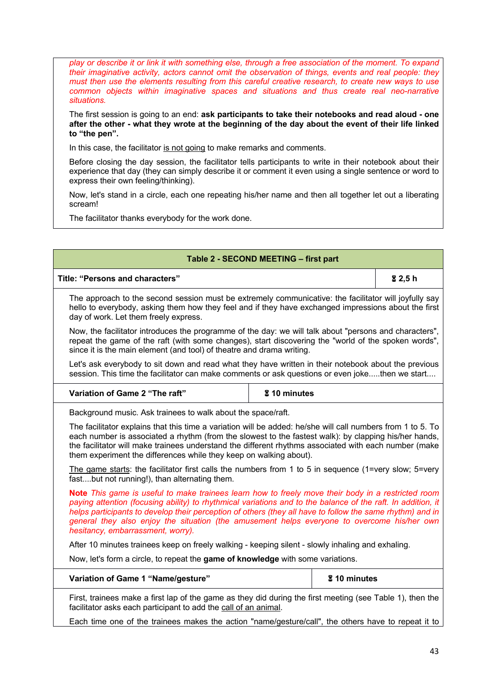*play or describe it or link it with something else, through a free association of the moment. To expand their imaginative activity, actors cannot omit the observation of things, events and real people: they must then use the elements resulting from this careful creative research, to create new ways to use common objects within imaginative spaces and situations and thus create real neo-narrative situations.*

The first session is going to an end: **ask participants to take their notebooks and read aloud - one after the other - what they wrote at the beginning of the day about the event of their life linked to "the pen".**

In this case, the facilitator is not going to make remarks and comments.

Before closing the day session, the facilitator tells participants to write in their notebook about their experience that day (they can simply describe it or comment it even using a single sentence or word to express their own feeling/thinking).

Now, let's stand in a circle, each one repeating his/her name and then all together let out a liberating scream!

The facilitator thanks everybody for the work done.

| Table 2 - SECOND MEETING - first part                                                                                                                                                                                                                                                                                                                                                                                                                               |                         |                         |  |
|---------------------------------------------------------------------------------------------------------------------------------------------------------------------------------------------------------------------------------------------------------------------------------------------------------------------------------------------------------------------------------------------------------------------------------------------------------------------|-------------------------|-------------------------|--|
| <b>Title: "Persons and characters"</b>                                                                                                                                                                                                                                                                                                                                                                                                                              |                         | <b>&amp; 2,5 h</b>      |  |
| The approach to the second session must be extremely communicative: the facilitator will joyfully say<br>hello to everybody, asking them how they feel and if they have exchanged impressions about the first<br>day of work. Let them freely express.                                                                                                                                                                                                              |                         |                         |  |
| Now, the facilitator introduces the programme of the day: we will talk about "persons and characters",<br>repeat the game of the raft (with some changes), start discovering the "world of the spoken words",<br>since it is the main element (and tool) of theatre and drama writing.                                                                                                                                                                              |                         |                         |  |
| Let's ask everybody to sit down and read what they have written in their notebook about the previous<br>session. This time the facilitator can make comments or ask questions or even jokethen we start                                                                                                                                                                                                                                                             |                         |                         |  |
| Variation of Game 2 "The raft"                                                                                                                                                                                                                                                                                                                                                                                                                                      | <b>&amp; 10 minutes</b> |                         |  |
| Background music. Ask trainees to walk about the space/raft.                                                                                                                                                                                                                                                                                                                                                                                                        |                         |                         |  |
| The facilitator explains that this time a variation will be added: he/she will call numbers from 1 to 5. To<br>each number is associated a rhythm (from the slowest to the fastest walk): by clapping his/her hands,<br>the facilitator will make trainees understand the different rhythms associated with each number (make<br>them experiment the differences while they keep on walking about).                                                                 |                         |                         |  |
| The game starts: the facilitator first calls the numbers from 1 to 5 in sequence (1=very slow; $5=$ very<br>fastbut not running!), than alternating them.                                                                                                                                                                                                                                                                                                           |                         |                         |  |
| Note This game is useful to make trainees learn how to freely move their body in a restricted room<br>paying attention (focusing ability) to rhythmical variations and to the balance of the raft. In addition, it<br>helps participants to develop their perception of others (they all have to follow the same rhythm) and in<br>general they also enjoy the situation (the amusement helps everyone to overcome his/her own<br>hesitancy, embarrassment, worry). |                         |                         |  |
| After 10 minutes trainees keep on freely walking - keeping silent - slowly inhaling and exhaling.                                                                                                                                                                                                                                                                                                                                                                   |                         |                         |  |
| Now, let's form a circle, to repeat the game of knowledge with some variations.                                                                                                                                                                                                                                                                                                                                                                                     |                         |                         |  |
| Variation of Game 1 "Name/gesture"                                                                                                                                                                                                                                                                                                                                                                                                                                  |                         | <b>&amp; 10 minutes</b> |  |
| First, trainees make a first lap of the game as they did during the first meeting (see Table 1), then the<br>facilitator asks each participant to add the call of an animal.                                                                                                                                                                                                                                                                                        |                         |                         |  |
| Each time one of the trainees makes the action "name/gesture/call", the others have to repeat it to                                                                                                                                                                                                                                                                                                                                                                 |                         |                         |  |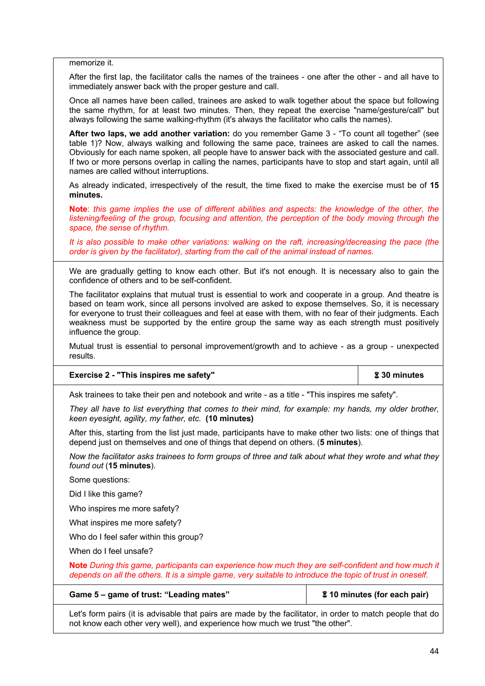memorize it.

After the first lap, the facilitator calls the names of the trainees - one after the other - and all have to immediately answer back with the proper gesture and call.

Once all names have been called, trainees are asked to walk together about the space but following the same rhythm, for at least two minutes. Then, they repeat the exercise "name/gesture/call" but always following the same walking-rhythm (it's always the facilitator who calls the names).

**After two laps, we add another variation:** do you remember Game 3 - "To count all together" (see table 1)? Now, always walking and following the same pace, trainees are asked to call the names. Obviously for each name spoken, all people have to answer back with the associated gesture and call. If two or more persons overlap in calling the names, participants have to stop and start again, until all names are called without interruptions.

As already indicated, irrespectively of the result, the time fixed to make the exercise must be of **15 minutes.** 

**Note**: *this game implies the use of different abilities and aspects: the knowledge of the other, the*  listening/feeling of the group, focusing and attention, the perception of the body moving through the *space, the sense of rhythm.*

*It is also possible to make other variations: walking on the raft, increasing/decreasing the pace (the order is given by the facilitator), starting from the call of the animal instead of names.*

We are gradually getting to know each other. But it's not enough. It is necessary also to gain the confidence of others and to be self-confident.

The facilitator explains that mutual trust is essential to work and cooperate in a group. And theatre is based on team work, since all persons involved are asked to expose themselves. So, it is necessary for everyone to trust their colleagues and feel at ease with them, with no fear of their judgments. Each weakness must be supported by the entire group the same way as each strength must positively influence the group.

Mutual trust is essential to personal improvement/growth and to achieve - as a group - unexpected results.

#### **Exercise 2 - "This inspires me safety"** 6 **30 minutes**

Ask trainees to take their pen and notebook and write - as a title - "This inspires me safety".

*They all have to list everything that comes to their mind, for example: my hands, my older brother, keen eyesight, agility, my father, etc.* **(10 minutes)**

After this, starting from the list just made, participants have to make other two lists: one of things that depend just on themselves and one of things that depend on others. (**5 minutes**).

*Now the facilitator asks trainees to form groups of three and talk about what they wrote and what they found out* (**15 minutes**).

Some questions:

Did I like this game?

Who inspires me more safety?

What inspires me more safety?

Who do I feel safer within this group?

When do I feel unsafe?

**Note** *During this game, participants can experience how much they are self-confident and how much it depends on all the others. It is a simple game, very suitable to introduce the topic of trust in oneself.*

#### **Game 5 – game of trust: "Leading mates"** 6 **10 minutes (for each pair)**

Let's form pairs (it is advisable that pairs are made by the facilitator, in order to match people that do not know each other very well), and experience how much we trust "the other".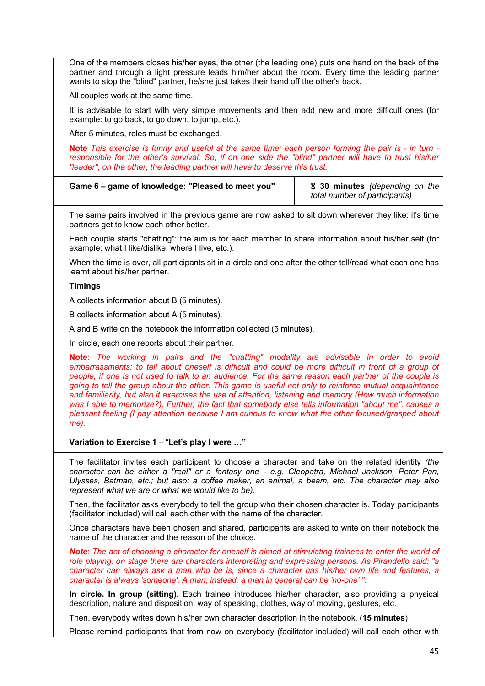One of the members closes his/her eyes, the other (the leading one) puts one hand on the back of the partner and through a light pressure leads him/her about the room. Every time the leading partner wants to stop the "blind" partner, he/she just takes their hand off the other's back.

All couples work at the same time.

It is advisable to start with very simple movements and then add new and more difficult ones (for example: to go back, to go down, to jump, etc.).

After 5 minutes, roles must be exchanged.

**Note** *This exercise is funny and useful at the same time: each person forming the pair is - in turn responsible for the other's survival. So, if on one side the "blind" partner will have to trust his/her "leader", on the other, the leading partner will have to deserve this trust.*

| Game 6 – game of knowledge: "Pleased to meet you" | 8 30 minutes (depending on the |
|---------------------------------------------------|--------------------------------|
|                                                   | total number of participants)  |

The same pairs involved in the previous game are now asked to sit down wherever they like: it's time partners get to know each other better.

Each couple starts "chatting": the aim is for each member to share information about his/her self (for example: what I like/dislike, where I live, etc.).

When the time is over, all participants sit in a circle and one after the other tell/read what each one has learnt about his/her partner.

# **Timings**

A collects information about B (5 minutes).

B collects information about A (5 minutes).

A and B write on the notebook the information collected (5 minutes).

In circle, each one reports about their partner.

**Note**: *The working in pairs and the "chatting" modality are advisable in order to avoid*  embarrassments: to tell about oneself is difficult and could be more difficult in front of a group of *people, if one is not used to talk to an audience. For the same reason each partner of the couple is going to tell the group about the other. This game is useful not only to reinforce mutual acquaintance and familiarity, but also it exercises the use of attention, listening and memory (How much information was I able to memorize?). Further, the fact that somebody else tells information "about me", causes a pleasant feeling (I pay attention because I am curious to know what the other focused/grasped about me).*

**Variation to Exercise 1** – "**Let's play I were …"**

The facilitator invites each participant to choose a character and take on the related identity *(the character can be either a "real" or a fantasy one - e.g. Cleopatra, Michael Jackson, Peter Pan, Ulysses, Batman, etc.; but also: a coffee maker, an animal, a beam, etc. The character may also represent what we are or what we would like to be).*

Then, the facilitator asks everybody to tell the group who their chosen character is. Today participants (facilitator included) will call each other with the name of the character.

Once characters have been chosen and shared, participants are asked to write on their notebook the name of the character and the reason of the choice.

*Note*: *The act of choosing a character for oneself is aimed at stimulating trainees to enter the world of role playing: on stage there are characters interpreting and expressing persons. As Pirandello said: "a character can always ask a man who he is, since a character has his/her own life and features, a character is always 'someone'. A man, instead, a man in general can be 'no-one' ".*

**In circle. In group (sitting)**. Each trainee introduces his/her character, also providing a physical description, nature and disposition, way of speaking, clothes, way of moving, gestures, etc.

Then, everybody writes down his/her own character description in the notebook. (**15 minutes**)

Please remind participants that from now on everybody (facilitator included) will call each other with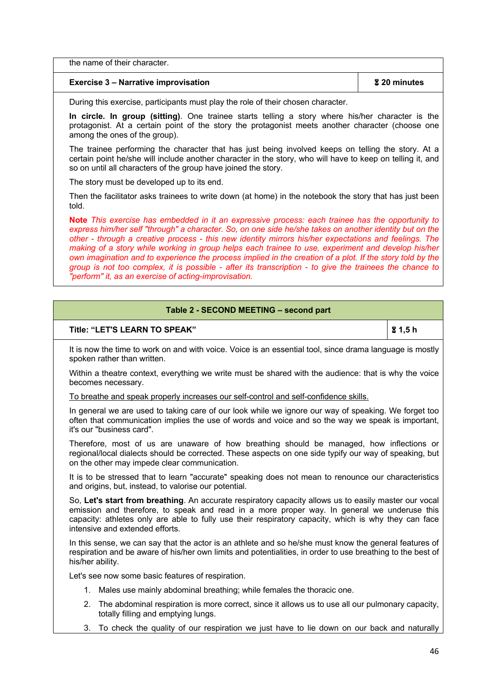| the name of their character.<br><b>Exercise 3 – Narrative improvisation</b> |                         |
|-----------------------------------------------------------------------------|-------------------------|
|                                                                             | <b>&amp; 20 minutes</b> |

During this exercise, participants must play the role of their chosen character.

**In circle. In group (sitting)**. One trainee starts telling a story where his/her character is the protagonist. At a certain point of the story the protagonist meets another character (choose one among the ones of the group).

The trainee performing the character that has just being involved keeps on telling the story. At a certain point he/she will include another character in the story, who will have to keep on telling it, and so on until all characters of the group have joined the story.

The story must be developed up to its end.

Then the facilitator asks trainees to write down (at home) in the notebook the story that has just been told.

**Note** *This exercise has embedded in it an expressive process: each trainee has the opportunity to express him/her self "through" a character. So, on one side he/she takes on another identity but on the other - through a creative process - this new identity mirrors his/her expectations and feelings. The making of a story while working in group helps each trainee to use, experiment and develop his/her own imagination and to experience the process implied in the creation of a plot. If the story told by the group is not too complex, it is possible - after its transcription - to give the trainees the chance to "perform" it, as an exercise of acting-improvisation.* 

# **Table 2 - SECOND MEETING – second part**

# **Title: "LET'S LEARN TO SPEAK"** 6 **1,5 h**

It is now the time to work on and with voice. Voice is an essential tool, since drama language is mostly spoken rather than written.

Within a theatre context, everything we write must be shared with the audience: that is why the voice becomes necessary.

To breathe and speak properly increases our self-control and self-confidence skills.

In general we are used to taking care of our look while we ignore our way of speaking. We forget too often that communication implies the use of words and voice and so the way we speak is important, it's our "business card".

Therefore, most of us are unaware of how breathing should be managed, how inflections or regional/local dialects should be corrected. These aspects on one side typify our way of speaking, but on the other may impede clear communication.

It is to be stressed that to learn "accurate" speaking does not mean to renounce our characteristics and origins, but, instead, to valorise our potential.

So, **Let's start from breathing**. An accurate respiratory capacity allows us to easily master our vocal emission and therefore, to speak and read in a more proper way. In general we underuse this capacity: athletes only are able to fully use their respiratory capacity, which is why they can face intensive and extended efforts.

In this sense, we can say that the actor is an athlete and so he/she must know the general features of respiration and be aware of his/her own limits and potentialities, in order to use breathing to the best of his/her ability.

Let's see now some basic features of respiration.

- 1. Males use mainly abdominal breathing; while females the thoracic one.
- 2. The abdominal respiration is more correct, since it allows us to use all our pulmonary capacity, totally filling and emptying lungs.
- 3. To check the quality of our respiration we just have to lie down on our back and naturally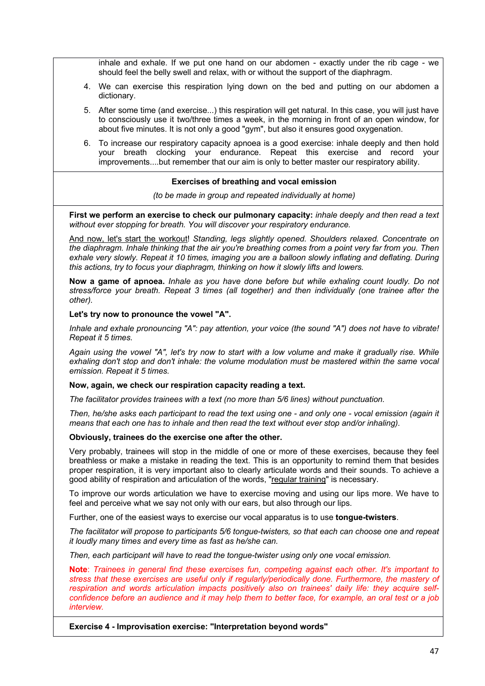inhale and exhale. If we put one hand on our abdomen - exactly under the rib cage - we should feel the belly swell and relax, with or without the support of the diaphragm.

- 4. We can exercise this respiration lying down on the bed and putting on our abdomen a dictionary.
- 5. After some time (and exercise...) this respiration will get natural. In this case, you will just have to consciously use it two/three times a week, in the morning in front of an open window, for about five minutes. It is not only a good "gym", but also it ensures good oxygenation.
- 6. To increase our respiratory capacity apnoea is a good exercise: inhale deeply and then hold your breath clocking your endurance. Repeat this exercise and record your improvements....but remember that our aim is only to better master our respiratory ability.

# **Exercises of breathing and vocal emission**

*(to be made in group and repeated individually at home)*

**First we perform an exercise to check our pulmonary capacity:** *inhale deeply and then read a text without ever stopping for breath. You will discover your respiratory endurance.*

And now, let's start the workout! *Standing, legs slightly opened. Shoulders relaxed. Concentrate on the diaphragm. Inhale thinking that the air you're breathing comes from a point very far from you. Then*  exhale very slowly. Repeat it 10 times, imaging you are a balloon slowly inflating and deflating. During *this actions, try to focus your diaphragm, thinking on how it slowly lifts and lowers.*

**Now a game of apnoea.** *Inhale as you have done before but while exhaling count loudly. Do not stress/force your breath. Repeat 3 times (all together) and then individually (one trainee after the other).*

#### **Let's try now to pronounce the vowel "A".**

*Inhale and exhale pronouncing "A": pay attention, your voice (the sound "A") does not have to vibrate! Repeat it 5 times.*

*Again using the vowel "A", let's try now to start with a low volume and make it gradually rise. While exhaling don't stop and don't inhale: the volume modulation must be mastered within the same vocal emission. Repeat it 5 times.* 

#### **Now, again, we check our respiration capacity reading a text.**

*The facilitator provides trainees with a text (no more than 5/6 lines) without punctuation.*

*Then, he/she asks each participant to read the text using one - and only one - vocal emission (again it means that each one has to inhale and then read the text without ever stop and/or inhaling).*

#### **Obviously, trainees do the exercise one after the other.**

Very probably, trainees will stop in the middle of one or more of these exercises, because they feel breathless or make a mistake in reading the text. This is an opportunity to remind them that besides proper respiration, it is very important also to clearly articulate words and their sounds. To achieve a good ability of respiration and articulation of the words, "regular training" is necessary.

To improve our words articulation we have to exercise moving and using our lips more. We have to feel and perceive what we say not only with our ears, but also through our lips.

Further, one of the easiest ways to exercise our vocal apparatus is to use **tongue-twisters**.

*The facilitator will propose to participants 5/6 tongue-twisters, so that each can choose one and repeat it loudly many times and every time as fast as he/she can.*

*Then, each participant will have to read the tongue-twister using only one vocal emission.*

**Note**: *Trainees in general find these exercises fun, competing against each other. It's important to stress that these exercises are useful only if regularly/periodically done. Furthermore, the mastery of respiration and words articulation impacts positively also on trainees' daily life: they acquire selfconfidence before an audience and it may help them to better face, for example, an oral test or a job interview.*

**Exercise 4 - Improvisation exercise: "Interpretation beyond words"**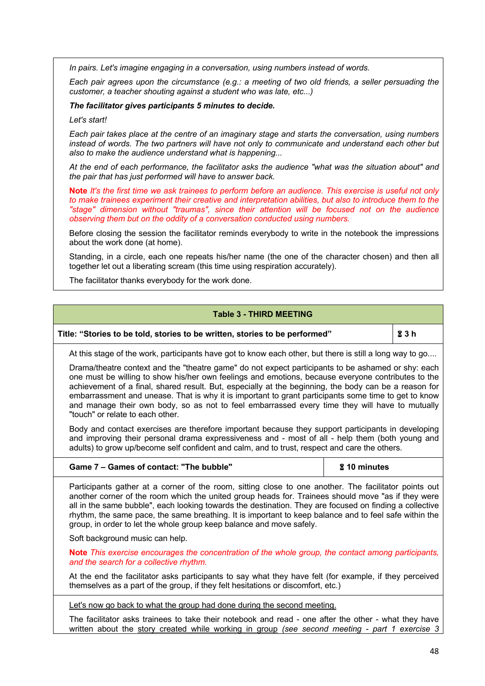*In pairs. Let's imagine engaging in a conversation, using numbers instead of words.*

*Each pair agrees upon the circumstance (e.g.: a meeting of two old friends, a seller persuading the customer, a teacher shouting against a student who was late, etc...)*

*The facilitator gives participants 5 minutes to decide.*

*Let's start!* 

*Each pair takes place at the centre of an imaginary stage and starts the conversation, using numbers instead of words. The two partners will have not only to communicate and understand each other but also to make the audience understand what is happening...*

*At the end of each performance, the facilitator asks the audience "what was the situation about" and the pair that has just performed will have to answer back.* 

**Note** *It's the first time we ask trainees to perform before an audience. This exercise is useful not only to make trainees experiment their creative and interpretation abilities, but also to introduce them to the "stage" dimension without "traumas", since their attention will be focused not on the audience observing them but on the oddity of a conversation conducted using numbers.*

Before closing the session the facilitator reminds everybody to write in the notebook the impressions about the work done (at home).

Standing, in a circle, each one repeats his/her name (the one of the character chosen) and then all together let out a liberating scream (this time using respiration accurately).

The facilitator thanks everybody for the work done.

# **Table 3 - THIRD MEETING**

# **Title: "Stories to be told, stories to be written, stories to be performed"** 6 **3 h**

At this stage of the work, participants have got to know each other, but there is still a long way to go....

Drama/theatre context and the "theatre game" do not expect participants to be ashamed or shy: each one must be willing to show his/her own feelings and emotions, because everyone contributes to the achievement of a final, shared result. But, especially at the beginning, the body can be a reason for embarrassment and unease. That is why it is important to grant participants some time to get to know and manage their own body, so as not to feel embarrassed every time they will have to mutually "touch" or relate to each other.

Body and contact exercises are therefore important because they support participants in developing and improving their personal drama expressiveness and - most of all - help them (both young and adults) to grow up/become self confident and calm, and to trust, respect and care the others.

| Game 7 – Games of contact: "The bubble" | <b>&amp; 10 minutes</b> |
|-----------------------------------------|-------------------------|
|                                         |                         |

Participants gather at a corner of the room, sitting close to one another. The facilitator points out another corner of the room which the united group heads for. Trainees should move "as if they were all in the same bubble", each looking towards the destination. They are focused on finding a collective rhythm, the same pace, the same breathing. It is important to keep balance and to feel safe within the group, in order to let the whole group keep balance and move safely.

Soft background music can help.

**Note** *This exercise encourages the concentration of the whole group, the contact among participants, and the search for a collective rhythm.*

At the end the facilitator asks participants to say what they have felt (for example, if they perceived themselves as a part of the group, if they felt hesitations or discomfort, etc.)

# Let's now go back to what the group had done during the second meeting.

The facilitator asks trainees to take their notebook and read - one after the other - what they have written about the story created while working in group *(see second meeting - part 1 exercise 3*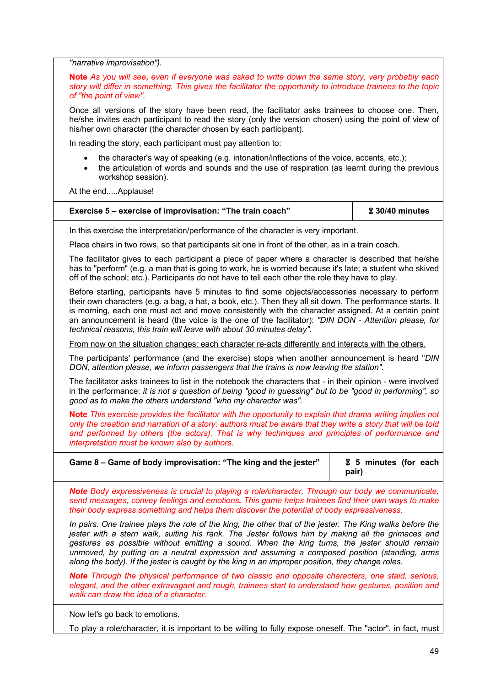*"narrative improvisation").*

**Note** *As you will see***,** *even if everyone was asked to write down the same story, very probably each story will differ in something. This gives the facilitator the opportunity to introduce trainees to the topic of "the point of view".*

Once all versions of the story have been read, the facilitator asks trainees to choose one. Then, he/she invites each participant to read the story (only the version chosen) using the point of view of his/her own character (the character chosen by each participant).

In reading the story, each participant must pay attention to:

- the character's way of speaking (e.g. intonation/inflections of the voice, accents, etc.);
- the articulation of words and sounds and the use of respiration (as learnt during the previous workshop session).

At the end.....Applause!

| Exercise 5 – exercise of improvisation: "The train coach" | <b>&amp; 30/40 minutes</b> |
|-----------------------------------------------------------|----------------------------|
|-----------------------------------------------------------|----------------------------|

In this exercise the interpretation/performance of the character is very important.

Place chairs in two rows, so that participants sit one in front of the other, as in a train coach.

The facilitator gives to each participant a piece of paper where a character is described that he/she has to "perform" (e.g. a man that is going to work, he is worried because it's late; a student who skived off of the school; etc.). Participants do not have to tell each other the role they have to play.

Before starting, participants have 5 minutes to find some objects/accessories necessary to perform their own characters (e.g. a bag, a hat, a book, etc.). Then they all sit down. The performance starts. It is morning, each one must act and move consistently with the character assigned. At a certain point an announcement is heard (the voice is the one of the facilitator): *"DIN DON - Attention please, for technical reasons, this train will leave with about 30 minutes delay".*

From now on the situation changes: each character re-acts differently and interacts with the others.

The participants' performance (and the exercise) stops when another announcement is heard "*DIN DON, attention please, we inform passengers that the trains is now leaving the station".*

The facilitator asks trainees to list in the notebook the characters that - in their opinion - were involved in the performance: *it is not a question of being "good in guessing" but to be "good in performing", so good as to make the others understand "who my character was".*

**Note** *This exercise provides the facilitator with the opportunity to explain that drama writing implies not only the creation and narration of a story: authors must be aware that they write a story that will be told and performed by others (the actors). That is why techniques and principles of performance and interpretation must be known also by authors.* 

| Game 8 - Game of body improvisation: "The king and the jester" | 8 5 minutes (for each |
|----------------------------------------------------------------|-----------------------|
|                                                                | pair)                 |

*Note Body expressiveness is crucial to playing a role/character. Through our body we communicate, send messages, convey feelings and emotions. This game helps trainees find their own ways to make their body express something and helps them discover the potential of body expressiveness.* 

*In pairs. One trainee plays the role of the king, the other that of the jester. The King walks before the jester with a stern walk, suiting his rank. The Jester follows him by making all the grimaces and gestures as possible without emitting a sound. When the king turns, the jester should remain unmoved, by putting on a neutral expression and assuming a composed position (standing, arms along the body). If the jester is caught by the king in an improper position, they change roles.*

*Note Through the physical performance of two classic and opposite characters, one staid, serious, elegant, and the other extravagant and rough, trainees start to understand how gestures, position and walk can draw the idea of a character.*

Now let's go back to emotions.

To play a role/character, it is important to be willing to fully expose oneself. The "actor", in fact, must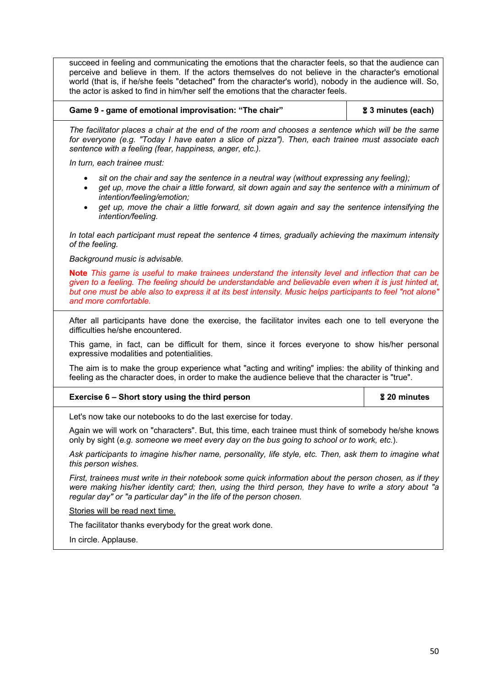succeed in feeling and communicating the emotions that the character feels, so that the audience can perceive and believe in them. If the actors themselves do not believe in the character's emotional world (that is, if he/she feels "detached" from the character's world), nobody in the audience will. So, the actor is asked to find in him/her self the emotions that the character feels.

| Game 9 - game of emotional improvisation: "The chair" | 8 3 minutes (each) |
|-------------------------------------------------------|--------------------|
|-------------------------------------------------------|--------------------|

*The facilitator places a chair at the end of the room and chooses a sentence which will be the same for everyone (e.g. "Today I have eaten a slice of pizza"). Then, each trainee must associate each sentence with a feeling (fear, happiness, anger, etc.).* 

*In turn, each trainee must:*

- *sit on the chair and say the sentence in a neutral way (without expressing any feeling);*
- *get up, move the chair a little forward, sit down again and say the sentence with a minimum of intention/feeling/emotion;*
- *get up, move the chair a little forward, sit down again and say the sentence intensifying the intention/feeling.*

*In total each participant must repeat the sentence 4 times, gradually achieving the maximum intensity of the feeling.*

*Background music is advisable.*

**Note** *This game is useful to make trainees understand the intensity level and inflection that can be given to a feeling. The feeling should be understandable and believable even when it is just hinted at, but one must be able also to express it at its best intensity. Music helps participants to feel "not alone" and more comfortable.*

After all participants have done the exercise, the facilitator invites each one to tell everyone the difficulties he/she encountered.

This game, in fact, can be difficult for them, since it forces everyone to show his/her personal expressive modalities and potentialities.

The aim is to make the group experience what "acting and writing" implies: the ability of thinking and feeling as the character does, in order to make the audience believe that the character is "true".

| Exercise 6 – Short story using the third person | <b>&amp; 20 minutes</b> |
|-------------------------------------------------|-------------------------|
|                                                 |                         |

Let's now take our notebooks to do the last exercise for today.

Again we will work on "characters". But, this time, each trainee must think of somebody he/she knows only by sight (*e.g. someone we meet every day on the bus going to school or to work, etc.*).

*Ask participants to imagine his/her name, personality, life style, etc. Then, ask them to imagine what this person wishes.*

*First, trainees must write in their notebook some quick information about the person chosen, as if they were making his/her identity card; then, using the third person, they have to write a story about "a regular day" or "a particular day" in the life of the person chosen.* 

Stories will be read next time.

The facilitator thanks everybody for the great work done.

In circle. Applause.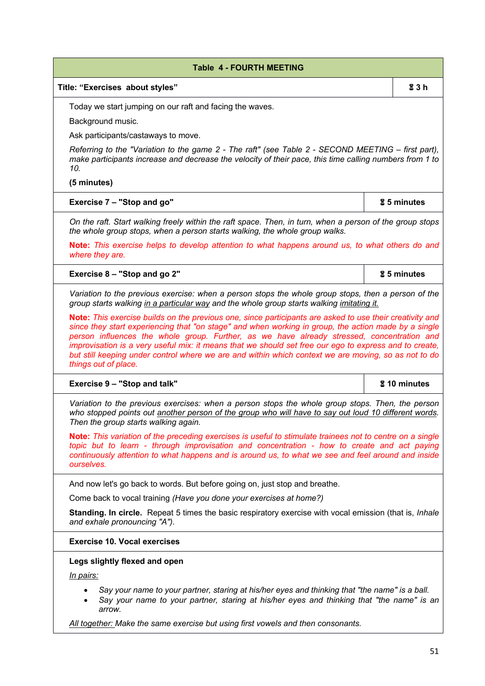| <b>Table 4 - FOURTH MEETING</b>                                                                                                                                                                                                                                                                                                                                                                                                                                                                                                                          |  |                         |  |
|----------------------------------------------------------------------------------------------------------------------------------------------------------------------------------------------------------------------------------------------------------------------------------------------------------------------------------------------------------------------------------------------------------------------------------------------------------------------------------------------------------------------------------------------------------|--|-------------------------|--|
| Title: "Exercises about styles"                                                                                                                                                                                                                                                                                                                                                                                                                                                                                                                          |  | <b>23h</b>              |  |
| Today we start jumping on our raft and facing the waves.                                                                                                                                                                                                                                                                                                                                                                                                                                                                                                 |  |                         |  |
| Background music.                                                                                                                                                                                                                                                                                                                                                                                                                                                                                                                                        |  |                         |  |
| Ask participants/castaways to move.                                                                                                                                                                                                                                                                                                                                                                                                                                                                                                                      |  |                         |  |
| Referring to the "Variation to the game 2 - The raft" (see Table 2 - SECOND MEETING – first part),<br>make participants increase and decrease the velocity of their pace, this time calling numbers from 1 to<br>10.                                                                                                                                                                                                                                                                                                                                     |  |                         |  |
| (5 minutes)                                                                                                                                                                                                                                                                                                                                                                                                                                                                                                                                              |  |                         |  |
| Exercise 7 - "Stop and go"                                                                                                                                                                                                                                                                                                                                                                                                                                                                                                                               |  | <b>&amp; 5 minutes</b>  |  |
| On the raft. Start walking freely within the raft space. Then, in turn, when a person of the group stops<br>the whole group stops, when a person starts walking, the whole group walks.                                                                                                                                                                                                                                                                                                                                                                  |  |                         |  |
| Note: This exercise helps to develop attention to what happens around us, to what others do and<br>where they are.                                                                                                                                                                                                                                                                                                                                                                                                                                       |  |                         |  |
| Exercise 8 - "Stop and go 2"                                                                                                                                                                                                                                                                                                                                                                                                                                                                                                                             |  | <b>&amp; 5 minutes</b>  |  |
| Variation to the previous exercise: when a person stops the whole group stops, then a person of the<br>group starts walking in a particular way and the whole group starts walking imitating it.                                                                                                                                                                                                                                                                                                                                                         |  |                         |  |
| Note: This exercise builds on the previous one, since participants are asked to use their creativity and<br>since they start experiencing that "on stage" and when working in group, the action made by a single<br>person influences the whole group. Further, as we have already stressed, concentration and<br>improvisation is a very useful mix: it means that we should set free our ego to express and to create,<br>but still keeping under control where we are and within which context we are moving, so as not to do<br>things out of place. |  |                         |  |
| Exercise 9 - "Stop and talk"                                                                                                                                                                                                                                                                                                                                                                                                                                                                                                                             |  | <b>&amp; 10 minutes</b> |  |
| Variation to the previous exercises: when a person stops the whole group stops. Then, the person<br>who stopped points out another person of the group who will have to say out loud 10 different words.<br>Then the group starts walking again.                                                                                                                                                                                                                                                                                                         |  |                         |  |
| <b>Note:</b> This variation of the preceding exercises is useful to stimulate trainees not to centre on a single<br>topic but to learn - through improvisation and concentration - how to create and act paying<br>continuously attention to what happens and is around us, to what we see and feel around and inside<br>ourselves.                                                                                                                                                                                                                      |  |                         |  |
| And now let's go back to words. But before going on, just stop and breathe.                                                                                                                                                                                                                                                                                                                                                                                                                                                                              |  |                         |  |
| Come back to vocal training (Have you done your exercises at home?)                                                                                                                                                                                                                                                                                                                                                                                                                                                                                      |  |                         |  |
| Standing. In circle. Repeat 5 times the basic respiratory exercise with vocal emission (that is, Inhale<br>and exhale pronouncing "A").                                                                                                                                                                                                                                                                                                                                                                                                                  |  |                         |  |
| <b>Exercise 10. Vocal exercises</b>                                                                                                                                                                                                                                                                                                                                                                                                                                                                                                                      |  |                         |  |
| Legs slightly flexed and open                                                                                                                                                                                                                                                                                                                                                                                                                                                                                                                            |  |                         |  |
| In pairs:                                                                                                                                                                                                                                                                                                                                                                                                                                                                                                                                                |  |                         |  |
| Say your name to your partner, staring at his/her eyes and thinking that "the name" is a ball.<br>Say your name to your partner, staring at his/her eyes and thinking that "the name" is an<br>arrow.                                                                                                                                                                                                                                                                                                                                                    |  |                         |  |
| All together: Make the same exercise but using first vowels and then consonants.                                                                                                                                                                                                                                                                                                                                                                                                                                                                         |  |                         |  |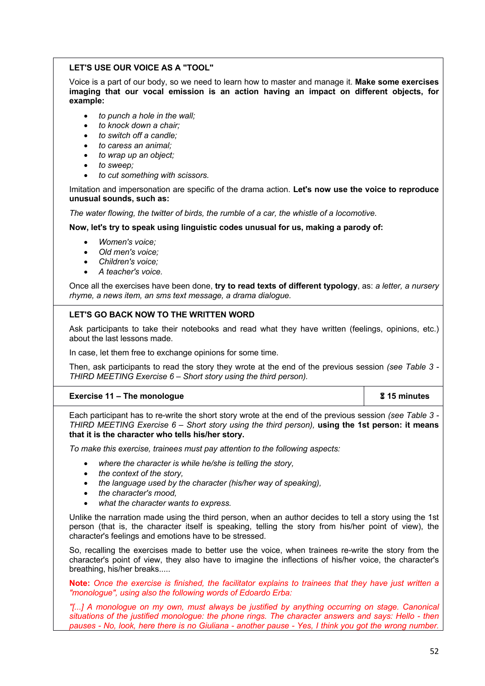# **LET'S USE OUR VOICE AS A "TOOL"**

Voice is a part of our body, so we need to learn how to master and manage it. **Make some exercises imaging that our vocal emission is an action having an impact on different objects, for example:**

- *to punch a hole in the wall;*
- *to knock down a chair;*
- *to switch off a candle;*
- *to caress an animal;*
- *to wrap up an object;*
- *to sweep;*
- *to cut something with scissors.*

Imitation and impersonation are specific of the drama action. **Let's now use the voice to reproduce unusual sounds, such as:**

*The water flowing, the twitter of birds, the rumble of a car, the whistle of a locomotive.* 

# **Now, let's try to speak using linguistic codes unusual for us, making a parody of:**

- *Women's voice;*
- *Old men's voice;*
- *Children's voice;*
- *A teacher's voice.*

Once all the exercises have been done, **try to read texts of different typology**, as: *a letter, a nursery rhyme, a news item, an sms text message, a drama dialogue.*

# **LET'S GO BACK NOW TO THE WRITTEN WORD**

Ask participants to take their notebooks and read what they have written (feelings, opinions, etc.) about the last lessons made.

In case, let them free to exchange opinions for some time.

Then, ask participants to read the story they wrote at the end of the previous session *(see Table 3 - THIRD MEETING Exercise 6 – Short story using the third person).*

# **Exercise** 11 – The monologue **6 and 15 minutes** 6 **15 minutes**

Each participant has to re-write the short story wrote at the end of the previous session *(see Table 3 - THIRD MEETING Exercise 6 – Short story using the third person),* **using the 1st person: it means that it is the character who tells his/her story.**

*To make this exercise, trainees must pay attention to the following aspects:*

- *where the character is while he/she is telling the story,*
- *the context of the story,*
- *the language used by the character (his/her way of speaking),*
- *the character's mood,*
- *what the character wants to express.*

Unlike the narration made using the third person, when an author decides to tell a story using the 1st person (that is, the character itself is speaking, telling the story from his/her point of view), the character's feelings and emotions have to be stressed.

So, recalling the exercises made to better use the voice, when trainees re-write the story from the character's point of view, they also have to imagine the inflections of his/her voice, the character's breathing, his/her breaks.....

**Note:** *Once the exercise is finished, the facilitator explains to trainees that they have just written a "monologue", using also the following words of Edoardo Erba:*

*"[...]* A monologue on my own, must always be justified by anything occurring on stage. Canonical *situations of the justified monologue: the phone rings. The character answers and says: Hello - then pauses - No, look, here there is no Giuliana - another pause - Yes, I think you got the wrong number.*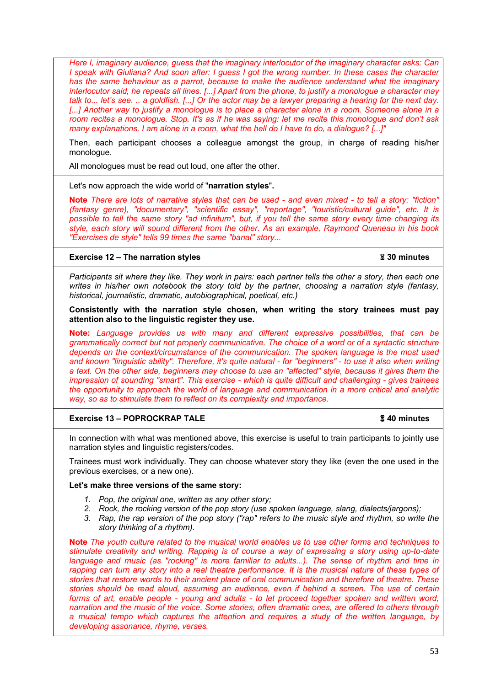*Here I, imaginary audience, guess that the imaginary interlocutor of the imaginary character asks: Can I speak with Giuliana? And soon after: I guess I got the wrong number. In these cases the character has the same behaviour as a parrot, because to make the audience understand what the imaginary interlocutor said, he repeats all lines. [...] Apart from the phone, to justify a monologue a character may talk to... let's see. .. a goldfish. [...] Or the actor may be a lawyer preparing a hearing for the next day. [...] Another way to justify a monologue is to place a character alone in a room. Someone alone in a room recites a monologue. Stop. It's as if he was saying: let me recite this monologue and don't ask many explanations. I am alone in a room, what the hell do I have to do, a dialogue? [...]"* 

Then, each participant chooses a colleague amongst the group, in charge of reading his/her monologue.

All monologues must be read out loud, one after the other.

Let's now approach the wide world of "**narration styles**"**.**

**Note** *There are lots of narrative styles that can be used - and even mixed - to tell a story: "fiction" (fantasy genre), "documentary", "scientific essay", "reportage", "touristic/cultural guide", etc. It is possible to tell the same story "ad infinitum", but, if you tell the same story every time changing its style, each story will sound different from the other. As an example, Raymond Queneau in his book "Exercises de style" tells 99 times the same "banal" story...*

**Exercise** 12 – The narration styles **12 12 130** minutes

*Participants sit where they like. They work in pairs: each partner tells the other a story, then each one writes in his/her own notebook the story told by the partner, choosing a narration style (fantasy, historical, journalistic, dramatic, autobiographical, poetical, etc.)*

**Consistently with the narration style chosen, when writing the story trainees must pay attention also to the linguistic register they use.**

**Note:** *Language provides us with many and different expressive possibilities, that can be grammatically correct but not properly communicative. The choice of a word or of a syntactic structure depends on the context/circumstance of the communication. The spoken language is the most used and known "linguistic ability". Therefore, it's quite natural - for "beginners" - to use it also when writing a text. On the other side, beginners may choose to use an "affected" style, because it gives them the impression of sounding "smart". This exercise - which is quite difficult and challenging - gives trainees the opportunity to approach the world of language and communication in a more critical and analytic way, so as to stimulate them to reflect on its complexity and importance.*

# **Exercise 13 – POPROCKRAP TALE** 6 **40 minutes**

In connection with what was mentioned above, this exercise is useful to train participants to jointly use narration styles and linguistic registers/codes.

Trainees must work individually. They can choose whatever story they like (even the one used in the previous exercises, or a new one).

# **Let's make three versions of the same story:**

- *1. Pop, the original one, written as any other story;*
- *2. Rock, the rocking version of the pop story (use spoken language, slang, dialects/jargons);*
- *3. Rap, the rap version of the pop story ("rap" refers to the music style and rhythm, so write the story thinking of a rhythm).*

**Note** *The youth culture related to the musical world enables us to use other forms and techniques to stimulate creativity and writing. Rapping is of course a way of expressing a story using up-to-date*  language and music (as "rocking" is more familiar to adults...). The sense of rhythm and time in rapping can turn any story into a real theatre performance. It is the musical nature of these types of *stories that restore words to their ancient place of oral communication and therefore of theatre. These stories should be read aloud, assuming an audience, even if behind a screen. The use of certain forms of art, enable people - young and adults - to let proceed together spoken and written word, narration and the music of the voice. Some stories, often dramatic ones, are offered to others through a musical tempo which captures the attention and requires a study of the written language, by developing assonance, rhyme, verses.*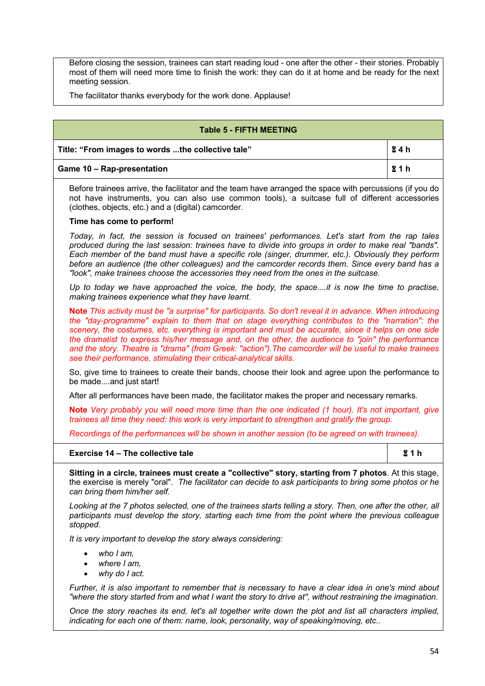Before closing the session, trainees can start reading loud - one after the other - their stories. Probably most of them will need more time to finish the work: they can do it at home and be ready for the next meeting session.

The facilitator thanks everybody for the work done. Applause!

| <b>Table 5 - FIFTH MEETING</b>                    |                |
|---------------------------------------------------|----------------|
| Title: "From images to words the collective tale" | <b>&amp;4h</b> |
| <b>Game 10 - Rap-presentation</b>                 | <b>21h</b>     |

Before trainees arrive, the facilitator and the team have arranged the space with percussions (if you do not have instruments, you can also use common tools), a suitcase full of different accessories (clothes, objects, etc.) and a (digital) camcorder.

# **Time has come to perform!**

*Today, in fact, the session is focused on trainees' performances. Let's start from the rap tales produced during the last session: trainees have to divide into groups in order to make real "bands". Each member of the band must have a specific role (singer, drummer, etc.). Obviously they perform before an audience (the other colleagues) and the camcorder records them. Since every band has a "look", make trainees choose the accessories they need from the ones in the suitcase.*

*Up to today we have approached the voice, the body, the space....it is now the time to practise, making trainees experience what they have learnt.* 

**Note** *This activity must be "a surprise" for participants. So don't reveal it in advance. When introducing the "day-programme" explain to them that on stage everything contributes to the "narration": the scenery, the costumes, etc. everything is important and must be accurate, since it helps on one side the dramatist to express his/her message and, on the other, the audience to "join" the performance and the story. Theatre is "drama" (from Greek: "action").The camcorder will be useful to make trainees see their performance, stimulating their critical-analytical skills.* 

So, give time to trainees to create their bands, choose their look and agree upon the performance to be made....and just start!

After all performances have been made, the facilitator makes the proper and necessary remarks.

**Note** *Very probably you will need more time than the one indicated (1 hour). It's not important, give trainees all time they need: this work is very important to strengthen and gratify the group.* 

*Recordings of the performances will be shown in another session (to be agreed on with trainees).*

| $\frac{1}{2}$ 1h<br><b>Exercise 14 – The collective tale</b> |  |
|--------------------------------------------------------------|--|
|--------------------------------------------------------------|--|

**Sitting in a circle, trainees must create a "collective" story, starting from 7 photos**. At this stage, the exercise is merely "oral". *The facilitator can decide to ask participants to bring some photos or he can bring them him/her self.*

Looking at the 7 photos selected, one of the trainees starts telling a story. Then, one after the other, all *participants must develop the story, starting each time from the point where the previous colleague stopped.* 

*It is very important to develop the story always considering:* 

- *who I am,*
- *where I am,*
- *why do I act.*

*Further, it is also important to remember that is necessary to have a clear idea in one's mind about "where the story started from and what I want the story to drive at", without restraining the imagination.*

*Once the story reaches its end, let's all together write down the plot and list all characters implied, indicating for each one of them: name, look, personality, way of speaking/moving, etc..*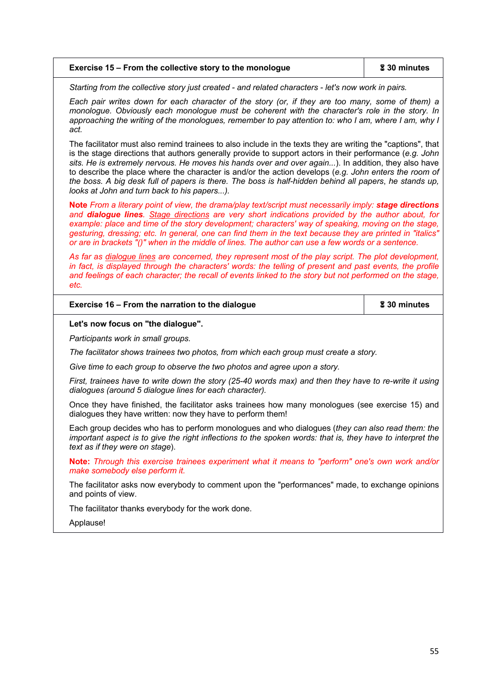| Exercise 15 – From the collective story to the monologue | <b>&amp; 30 minutes</b> |
|----------------------------------------------------------|-------------------------|
|----------------------------------------------------------|-------------------------|

*Starting from the collective story just created - and related characters - let's now work in pairs.*

*Each pair writes down for each character of the story (or, if they are too many, some of them) a monologue. Obviously each monologue must be coherent with the character's role in the story. In approaching the writing of the monologues, remember to pay attention to: who I am, where I am, why I act.*

The facilitator must also remind trainees to also include in the texts they are writing the "captions", that is the stage directions that authors generally provide to support actors in their performance (*e.g. John sits. He is extremely nervous. He moves his hands over and over again...*). In addition, they also have to describe the place where the character is and/or the action develops (*e.g. John enters the room of the boss. A big desk full of papers is there. The boss is half-hidden behind all papers*, *he stands up, looks at John and turn back to his papers...).*

**Note** *From a literary point of view, the drama/play text/script must necessarily imply: stage directions and dialogue lines. Stage directions are very short indications provided by the author about, for example: place and time of the story development; characters' way of speaking, moving on the stage, gesturing, dressing; etc. In general, one can find them in the text because they are printed in "italics" or are in brackets "()" when in the middle of lines. The author can use a few words or a sentence.* 

*As far as dialogue lines are concerned, they represent most of the play script. The plot development, in fact, is displayed through the characters' words: the telling of present and past events, the profile and feelings of each character; the recall of events linked to the story but not performed on the stage, etc.*

| Exercise 16 – From the narration to the dialogue | <b>&amp; 30 minutes</b> |
|--------------------------------------------------|-------------------------|
|--------------------------------------------------|-------------------------|

# **Let's now focus on "the dialogue".**

*Participants work in small groups.* 

*The facilitator shows trainees two photos, from which each group must create a story.*

*Give time to each group to observe the two photos and agree upon a story.* 

*First, trainees have to write down the story (25-40 words max) and then they have to re-write it using dialogues (around 5 dialogue lines for each character).* 

Once they have finished, the facilitator asks trainees how many monologues (see exercise 15) and dialogues they have written: now they have to perform them!

Each group decides who has to perform monologues and who dialogues (*they can also read them: the important aspect is to give the right inflections to the spoken words: that is, they have to interpret the text as if they were on stage*).

**Note:** *Through this exercise trainees experiment what it means to "perform" one's own work and/or make somebody else perform it.*

The facilitator asks now everybody to comment upon the "performances" made, to exchange opinions and points of view.

The facilitator thanks everybody for the work done.

Applause!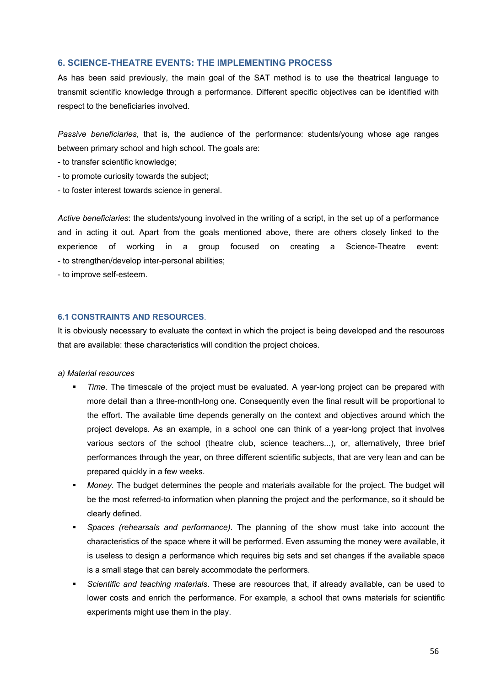# **6. SCIENCE-THEATRE EVENTS: THE IMPLEMENTING PROCESS**

As has been said previously, the main goal of the SAT method is to use the theatrical language to transmit scientific knowledge through a performance. Different specific objectives can be identified with respect to the beneficiaries involved.

*Passive beneficiaries*, that is, the audience of the performance: students/young whose age ranges between primary school and high school. The goals are:

- to transfer scientific knowledge;
- to promote curiosity towards the subject;
- to foster interest towards science in general.

*Active beneficiaries*: the students/young involved in the writing of a script, in the set up of a performance and in acting it out. Apart from the goals mentioned above, there are others closely linked to the experience of working in a group focused on creating a Science-Theatre event: - to strengthen/develop inter-personal abilities;

- to improve self-esteem.

# **6.1 CONSTRAINTS AND RESOURCES**.

It is obviously necessary to evaluate the context in which the project is being developed and the resources that are available: these characteristics will condition the project choices.

#### *a) Material resources*

- § *Time*. The timescale of the project must be evaluated. A year-long project can be prepared with more detail than a three-month-long one. Consequently even the final result will be proportional to the effort. The available time depends generally on the context and objectives around which the project develops. As an example, in a school one can think of a year-long project that involves various sectors of the school (theatre club, science teachers...), or, alternatively, three brief performances through the year, on three different scientific subjects, that are very lean and can be prepared quickly in a few weeks.
- § *Money*. The budget determines the people and materials available for the project. The budget will be the most referred-to information when planning the project and the performance, so it should be clearly defined.
- § *Spaces (rehearsals and performance)*. The planning of the show must take into account the characteristics of the space where it will be performed. Even assuming the money were available, it is useless to design a performance which requires big sets and set changes if the available space is a small stage that can barely accommodate the performers.
- § *Scientific and teaching materials*. These are resources that, if already available, can be used to lower costs and enrich the performance. For example, a school that owns materials for scientific experiments might use them in the play.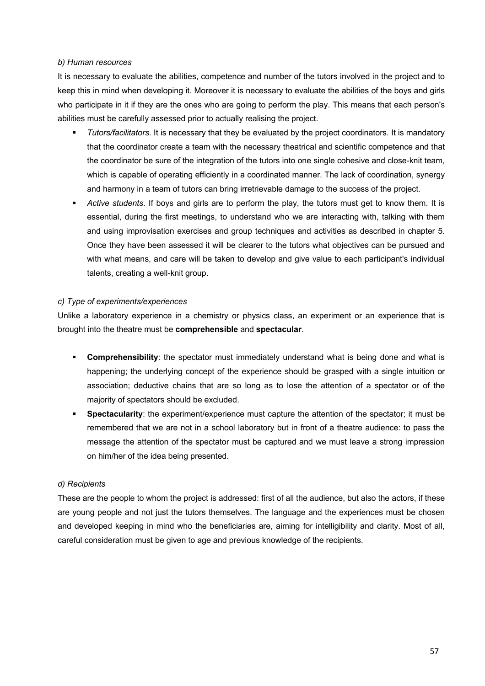# *b) Human resources*

It is necessary to evaluate the abilities, competence and number of the tutors involved in the project and to keep this in mind when developing it. Moreover it is necessary to evaluate the abilities of the boys and girls who participate in it if they are the ones who are going to perform the play. This means that each person's abilities must be carefully assessed prior to actually realising the project.

- § *Tutors/facilitators*. It is necessary that they be evaluated by the project coordinators. It is mandatory that the coordinator create a team with the necessary theatrical and scientific competence and that the coordinator be sure of the integration of the tutors into one single cohesive and close-knit team, which is capable of operating efficiently in a coordinated manner. The lack of coordination, synergy and harmony in a team of tutors can bring irretrievable damage to the success of the project.
- § *Active students*. If boys and girls are to perform the play, the tutors must get to know them. It is essential, during the first meetings, to understand who we are interacting with, talking with them and using improvisation exercises and group techniques and activities as described in chapter 5. Once they have been assessed it will be clearer to the tutors what objectives can be pursued and with what means, and care will be taken to develop and give value to each participant's individual talents, creating a well-knit group.

# *c) Type of experiments/experiences*

Unlike a laboratory experience in a chemistry or physics class, an experiment or an experience that is brought into the theatre must be **comprehensible** and **spectacular**.

- **Comprehensibility**: the spectator must immediately understand what is being done and what is happening; the underlying concept of the experience should be grasped with a single intuition or association; deductive chains that are so long as to lose the attention of a spectator or of the majority of spectators should be excluded.
- **•** Spectacularity: the experiment/experience must capture the attention of the spectator; it must be remembered that we are not in a school laboratory but in front of a theatre audience: to pass the message the attention of the spectator must be captured and we must leave a strong impression on him/her of the idea being presented.

# *d) Recipients*

These are the people to whom the project is addressed: first of all the audience, but also the actors, if these are young people and not just the tutors themselves. The language and the experiences must be chosen and developed keeping in mind who the beneficiaries are, aiming for intelligibility and clarity. Most of all, careful consideration must be given to age and previous knowledge of the recipients.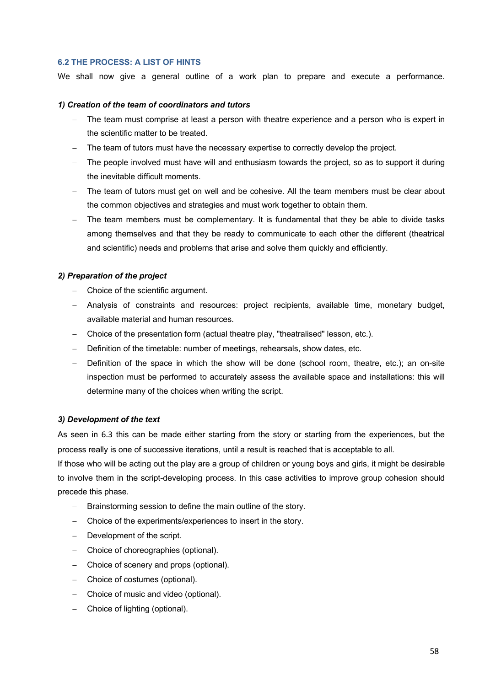# **6.2 THE PROCESS: A LIST OF HINTS**

We shall now give a general outline of a work plan to prepare and execute a performance.

#### *1) Creation of the team of coordinators and tutors*

- The team must comprise at least a person with theatre experience and a person who is expert in the scientific matter to be treated.
- The team of tutors must have the necessary expertise to correctly develop the project.
- The people involved must have will and enthusiasm towards the project, so as to support it during the inevitable difficult moments.
- The team of tutors must get on well and be cohesive. All the team members must be clear about the common objectives and strategies and must work together to obtain them.
- The team members must be complementary. It is fundamental that they be able to divide tasks among themselves and that they be ready to communicate to each other the different (theatrical and scientific) needs and problems that arise and solve them quickly and efficiently.

# *2) Preparation of the project*

- Choice of the scientific argument.
- Analysis of constraints and resources: project recipients, available time, monetary budget, available material and human resources.
- Choice of the presentation form (actual theatre play, "theatralised" lesson, etc.).
- Definition of the timetable: number of meetings, rehearsals, show dates, etc.
- Definition of the space in which the show will be done (school room, theatre, etc.); an on-site inspection must be performed to accurately assess the available space and installations: this will determine many of the choices when writing the script.

#### *3) Development of the text*

As seen in 6.3 this can be made either starting from the story or starting from the experiences, but the process really is one of successive iterations, until a result is reached that is acceptable to all.

If those who will be acting out the play are a group of children or young boys and girls, it might be desirable to involve them in the script-developing process. In this case activities to improve group cohesion should precede this phase.

- Brainstorming session to define the main outline of the story.
- Choice of the experiments/experiences to insert in the story.
- Development of the script.
- Choice of choreographies (optional).
- Choice of scenery and props (optional).
- Choice of costumes (optional).
- Choice of music and video (optional).
- Choice of lighting (optional).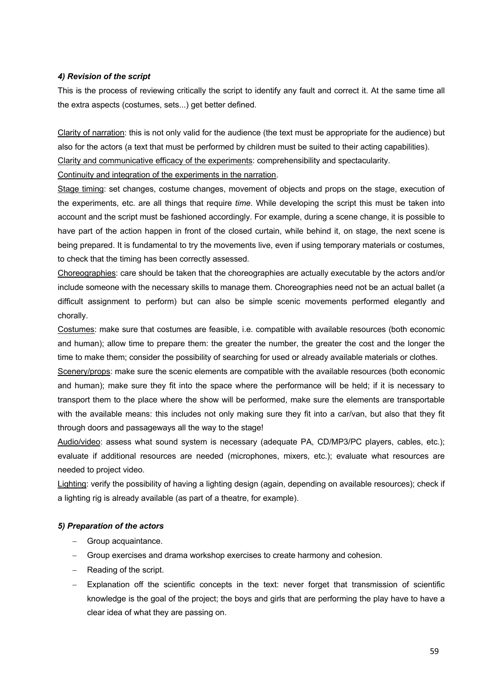# *4) Revision of the script*

This is the process of reviewing critically the script to identify any fault and correct it. At the same time all the extra aspects (costumes, sets...) get better defined.

Clarity of narration: this is not only valid for the audience (the text must be appropriate for the audience) but also for the actors (a text that must be performed by children must be suited to their acting capabilities). Clarity and communicative efficacy of the experiments: comprehensibility and spectacularity.

Continuity and integration of the experiments in the narration.

Stage timing: set changes, costume changes, movement of objects and props on the stage, execution of the experiments, etc. are all things that require *time*. While developing the script this must be taken into account and the script must be fashioned accordingly. For example, during a scene change, it is possible to have part of the action happen in front of the closed curtain, while behind it, on stage, the next scene is being prepared. It is fundamental to try the movements live, even if using temporary materials or costumes, to check that the timing has been correctly assessed.

Choreographies: care should be taken that the choreographies are actually executable by the actors and/or include someone with the necessary skills to manage them. Choreographies need not be an actual ballet (a difficult assignment to perform) but can also be simple scenic movements performed elegantly and chorally.

Costumes: make sure that costumes are feasible, i.e. compatible with available resources (both economic and human); allow time to prepare them: the greater the number, the greater the cost and the longer the time to make them; consider the possibility of searching for used or already available materials or clothes.

Scenery/props: make sure the scenic elements are compatible with the available resources (both economic and human); make sure they fit into the space where the performance will be held; if it is necessary to transport them to the place where the show will be performed, make sure the elements are transportable with the available means: this includes not only making sure they fit into a car/van, but also that they fit through doors and passageways all the way to the stage!

Audio/video: assess what sound system is necessary (adequate PA, CD/MP3/PC players, cables, etc.); evaluate if additional resources are needed (microphones, mixers, etc.); evaluate what resources are needed to project video.

Lighting: verify the possibility of having a lighting design (again, depending on available resources); check if a lighting rig is already available (as part of a theatre, for example).

# *5) Preparation of the actors*

- Group acquaintance.
- Group exercises and drama workshop exercises to create harmony and cohesion.
- Reading of the script.
- Explanation off the scientific concepts in the text: never forget that transmission of scientific knowledge is the goal of the project; the boys and girls that are performing the play have to have a clear idea of what they are passing on.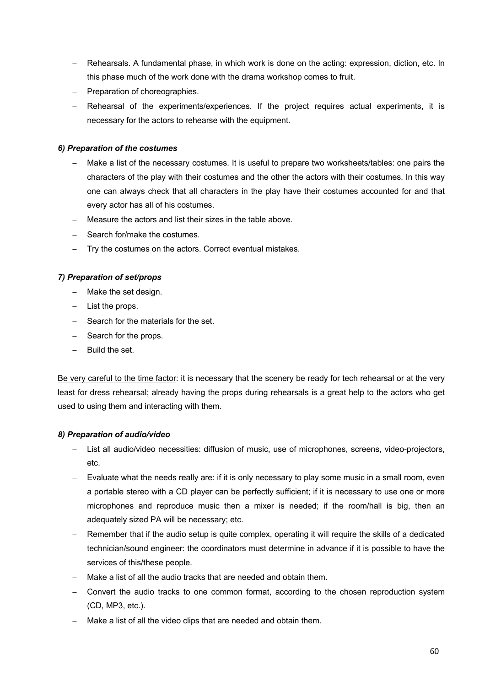- Rehearsals. A fundamental phase, in which work is done on the acting: expression, diction, etc. In this phase much of the work done with the drama workshop comes to fruit.
- Preparation of choreographies.
- Rehearsal of the experiments/experiences. If the project requires actual experiments, it is necessary for the actors to rehearse with the equipment.

# *6) Preparation of the costumes*

- Make a list of the necessary costumes. It is useful to prepare two worksheets/tables: one pairs the characters of the play with their costumes and the other the actors with their costumes. In this way one can always check that all characters in the play have their costumes accounted for and that every actor has all of his costumes.
- Measure the actors and list their sizes in the table above.
- Search for/make the costumes.
- Try the costumes on the actors. Correct eventual mistakes.

# *7) Preparation of set/props*

- Make the set design.
- List the props.
- Search for the materials for the set.
- Search for the props.
- Build the set.

Be very careful to the time factor: it is necessary that the scenery be ready for tech rehearsal or at the very least for dress rehearsal; already having the props during rehearsals is a great help to the actors who get used to using them and interacting with them.

#### *8) Preparation of audio/video*

- List all audio/video necessities: diffusion of music, use of microphones, screens, video-projectors, etc.
- Evaluate what the needs really are: if it is only necessary to play some music in a small room, even a portable stereo with a CD player can be perfectly sufficient; if it is necessary to use one or more microphones and reproduce music then a mixer is needed; if the room/hall is big, then an adequately sized PA will be necessary; etc.
- Remember that if the audio setup is quite complex, operating it will require the skills of a dedicated technician/sound engineer: the coordinators must determine in advance if it is possible to have the services of this/these people.
- Make a list of all the audio tracks that are needed and obtain them.
- Convert the audio tracks to one common format, according to the chosen reproduction system (CD, MP3, etc.).
- Make a list of all the video clips that are needed and obtain them.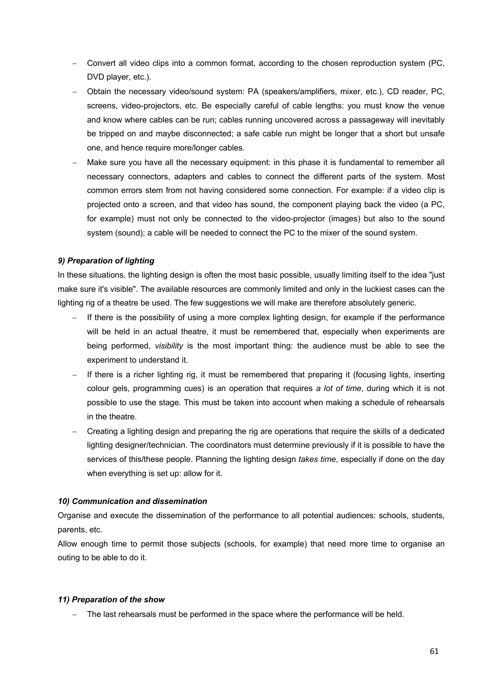- Convert all video clips into a common format, according to the chosen reproduction system (PC, DVD player, etc.).
- Obtain the necessary video/sound system: PA (speakers/amplifiers, mixer, etc.), CD reader, PC, screens, video-projectors, etc. Be especially careful of cable lengths: you must know the venue and know where cables can be run; cables running uncovered across a passageway will inevitably be tripped on and maybe disconnected; a safe cable run might be longer that a short but unsafe one, and hence require more/longer cables.
- Make sure you have all the necessary equipment: in this phase it is fundamental to remember all necessary connectors, adapters and cables to connect the different parts of the system. Most common errors stem from not having considered some connection. For example: if a video clip is projected onto a screen, and that video has sound, the component playing back the video (a PC, for example) must not only be connected to the video-projector (images) but also to the sound system (sound); a cable will be needed to connect the PC to the mixer of the sound system.

# *9) Preparation of lighting*

In these situations, the lighting design is often the most basic possible, usually limiting itself to the idea "just make sure it's visible". The available resources are commonly limited and only in the luckiest cases can the lighting rig of a theatre be used. The few suggestions we will make are therefore absolutely generic.

- If there is the possibility of using a more complex lighting design, for example if the performance will be held in an actual theatre, it must be remembered that, especially when experiments are being performed, *visibility* is the most important thing: the audience must be able to see the experiment to understand it.
- If there is a richer lighting rig, it must be remembered that preparing it (focusing lights, inserting colour gels, programming cues) is an operation that requires *a lot of time*, during which it is not possible to use the stage. This must be taken into account when making a schedule of rehearsals in the theatre.
- Creating a lighting design and preparing the rig are operations that require the skills of a dedicated lighting designer/technician. The coordinators must determine previously if it is possible to have the services of this/these people. Planning the lighting design *takes time*, especially if done on the day when everything is set up: allow for it.

# *10) Communication and dissemination*

Organise and execute the dissemination of the performance to all potential audiences: schools, students, parents, etc.

Allow enough time to permit those subjects (schools, for example) that need more time to organise an outing to be able to do it.

#### *11) Preparation of the show*

The last rehearsals must be performed in the space where the performance will be held.